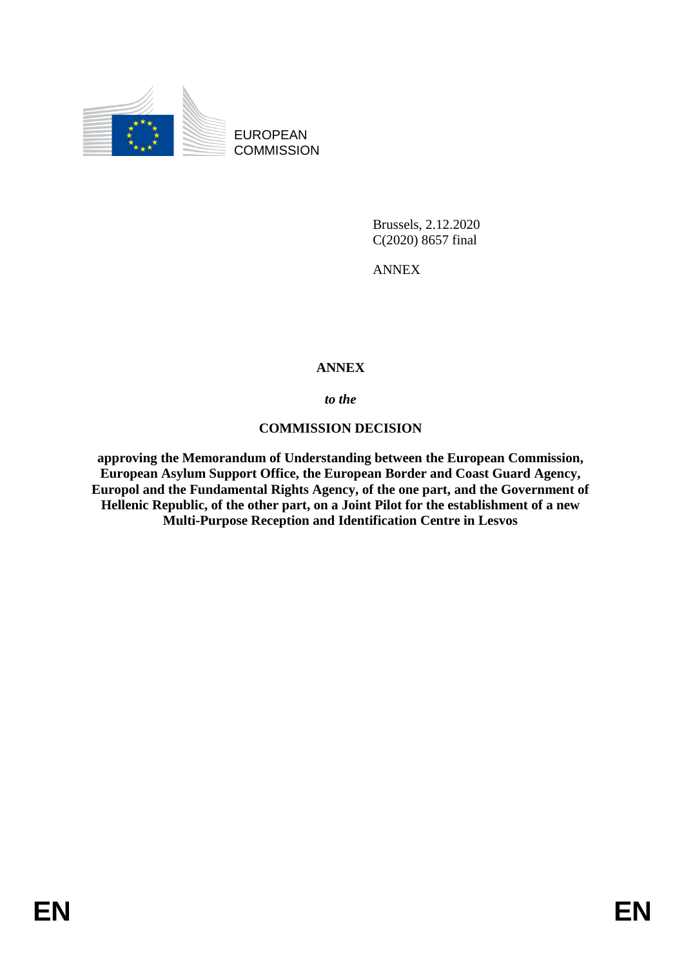

EUROPEAN **COMMISSION** 

> Brussels, 2.12.2020 C(2020) 8657 final

ANNEX

# **ANNEX**

*to the* 

# **COMMISSION DECISION**

**approving the Memorandum of Understanding between the European Commission, European Asylum Support Office, the European Border and Coast Guard Agency, Europol and the Fundamental Rights Agency, of the one part, and the Government of Hellenic Republic, of the other part, on a Joint Pilot for the establishment of a new Multi-Purpose Reception and Identification Centre in Lesvos**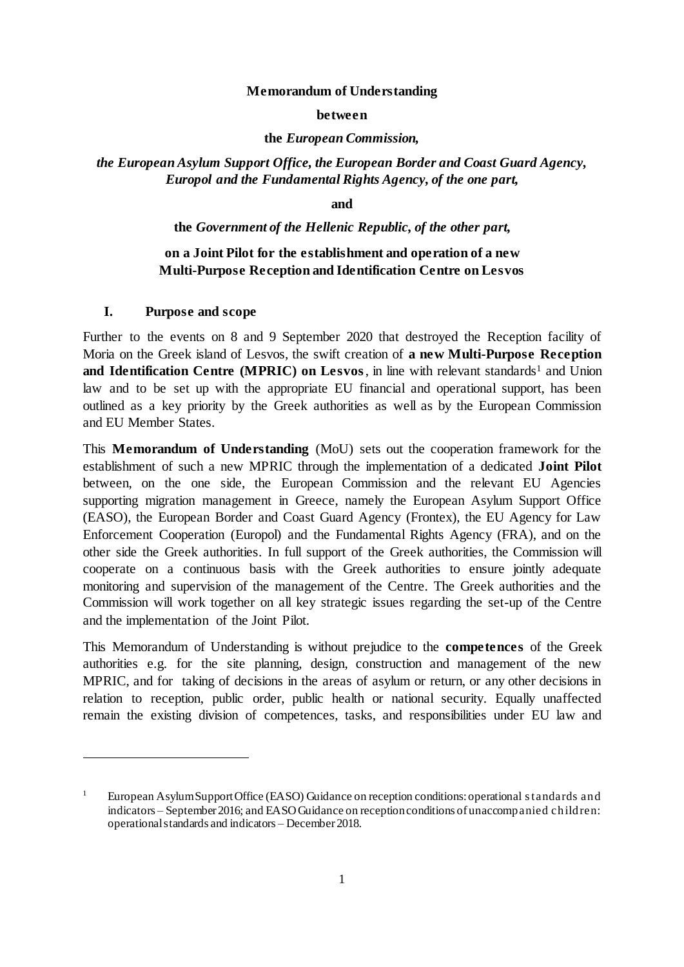#### **Memorandum of Understanding**

#### **between**

#### **the** *European Commission,*

## *the European Asylum Support Office, the European Border and Coast Guard Agency, Europol and the Fundamental Rights Agency, of the one part,*

**and** 

#### **the** *Government of the Hellenic Republic, of the other part,*

## **on a Joint Pilot for the establishment and operation of a new Multi-Purpose Reception and Identification Centre on Lesvos**

## **I. Purpose and scope**

 $\overline{a}$ 

Further to the events on 8 and 9 September 2020 that destroyed the Reception facility of Moria on the Greek island of Lesvos, the swift creation of **a new Multi-Purpose Reception and Identification Centre (MPRIC) on Lesvos**, in line with relevant standards<sup>1</sup> and Union law and to be set up with the appropriate EU financial and operational support, has been outlined as a key priority by the Greek authorities as well as by the European Commission and EU Member States.

This **Memorandum of Understanding** (MoU) sets out the cooperation framework for the establishment of such a new MPRIC through the implementation of a dedicated **Joint Pilot** between, on the one side, the European Commission and the relevant EU Agencies supporting migration management in Greece, namely the European Asylum Support Office (EASO), the European Border and Coast Guard Agency (Frontex), the EU Agency for Law Enforcement Cooperation (Europol) and the Fundamental Rights Agency (FRA), and on the other side the Greek authorities. In full support of the Greek authorities, the Commission will cooperate on a continuous basis with the Greek authorities to ensure jointly adequate monitoring and supervision of the management of the Centre. The Greek authorities and the Commission will work together on all key strategic issues regarding the set-up of the Centre and the implementation of the Joint Pilot.

This Memorandum of Understanding is without prejudice to the **competences** of the Greek authorities e.g. for the site planning, design, construction and management of the new MPRIC, and for taking of decisions in the areas of asylum or return, or any other decisions in relation to reception, public order, public health or national security. Equally unaffected remain the existing division of competences, tasks, and responsibilities under EU law and

<sup>&</sup>lt;sup>1</sup> European Asylum Support Office (EASO) Guidance on reception conditions: operational standards and indicators – September 2016; and EASO Guidance on reception conditions of unaccompanied children: operational standards and indicators – December 2018.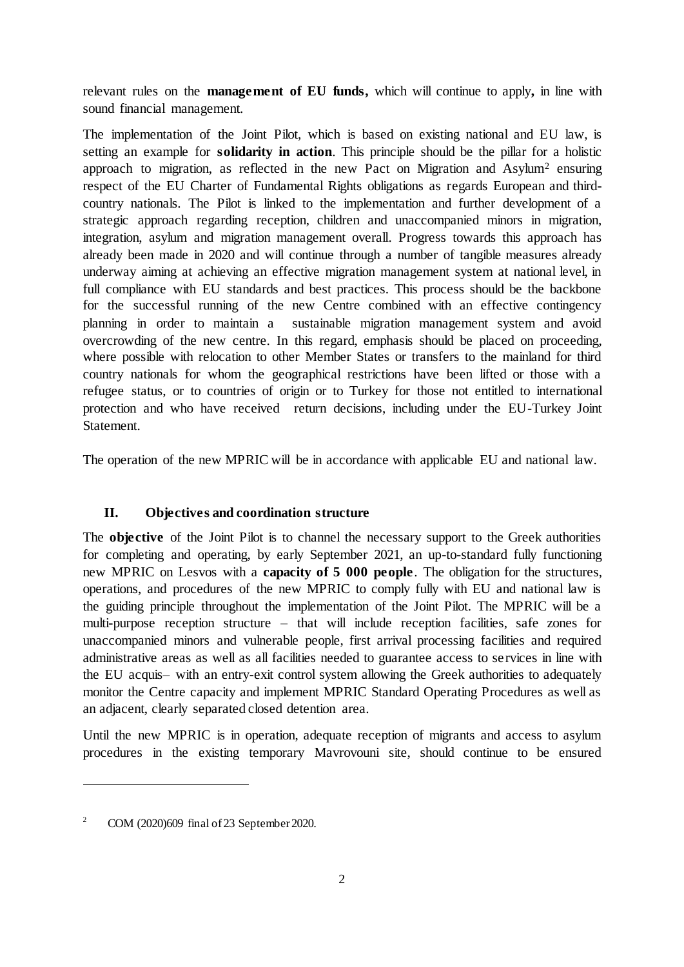relevant rules on the **management of EU funds,** which will continue to apply**,** in line with sound financial management.

The implementation of the Joint Pilot, which is based on existing national and EU law, is setting an example for **solidarity in action**. This principle should be the pillar for a holistic approach to migration, as reflected in the new Pact on Migration and Asylum<sup>2</sup> ensuring respect of the EU Charter of Fundamental Rights obligations as regards European and thirdcountry nationals. The Pilot is linked to the implementation and further development of a strategic approach regarding reception, children and unaccompanied minors in migration, integration, asylum and migration management overall. Progress towards this approach has already been made in 2020 and will continue through a number of tangible measures already underway aiming at achieving an effective migration management system at national level, in full compliance with EU standards and best practices. This process should be the backbone for the successful running of the new Centre combined with an effective contingency planning in order to maintain a sustainable migration management system and avoid overcrowding of the new centre. In this regard, emphasis should be placed on proceeding, where possible with relocation to other Member States or transfers to the mainland for third country nationals for whom the geographical restrictions have been lifted or those with a refugee status, or to countries of origin or to Turkey for those not entitled to international protection and who have received return decisions, including under the EU-Turkey Joint Statement.

The operation of the new MPRIC will be in accordance with applicable EU and national law.

### **II. Objectives and coordination structure**

The **objective** of the Joint Pilot is to channel the necessary support to the Greek authorities for completing and operating, by early September 2021, an up-to-standard fully functioning new MPRIC on Lesvos with a **capacity of 5 000 people**. The obligation for the structures, operations, and procedures of the new MPRIC to comply fully with EU and national law is the guiding principle throughout the implementation of the Joint Pilot. The MPRIC will be a multi-purpose reception structure – that will include reception facilities, safe zones for unaccompanied minors and vulnerable people, first arrival processing facilities and required administrative areas as well as all facilities needed to guarantee access to services in line with the EU acquis– with an entry-exit control system allowing the Greek authorities to adequately monitor the Centre capacity and implement MPRIC Standard Operating Procedures as well as an adjacent, clearly separated closed detention area.

Until the new MPRIC is in operation, adequate reception of migrants and access to asylum procedures in the existing temporary Mavrovouni site, should continue to be ensured

<sup>&</sup>lt;sup>2</sup> COM (2020)609 final of 23 September 2020.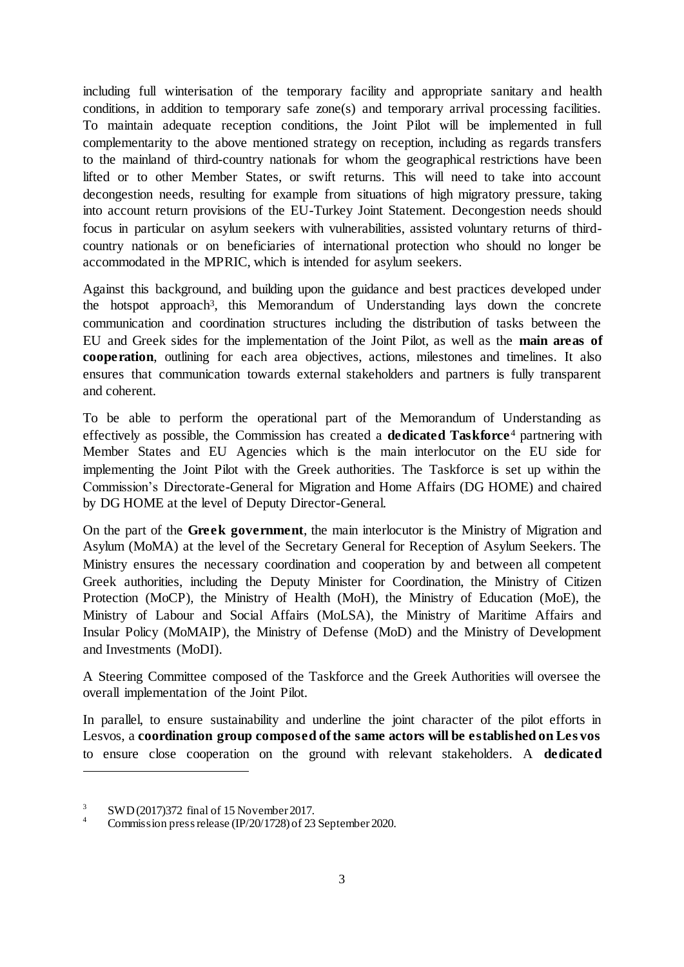including full winterisation of the temporary facility and appropriate sanitary and health conditions, in addition to temporary safe zone(s) and temporary arrival processing facilities. To maintain adequate reception conditions, the Joint Pilot will be implemented in full complementarity to the above mentioned strategy on reception, including as regards transfers to the mainland of third-country nationals for whom the geographical restrictions have been lifted or to other Member States, or swift returns. This will need to take into account decongestion needs, resulting for example from situations of high migratory pressure, taking into account return provisions of the EU-Turkey Joint Statement. Decongestion needs should focus in particular on asylum seekers with vulnerabilities, assisted voluntary returns of thirdcountry nationals or on beneficiaries of international protection who should no longer be accommodated in the MPRIC, which is intended for asylum seekers.

Against this background, and building upon the guidance and best practices developed under the hotspot approach<sup>3</sup>, this Memorandum of Understanding lays down the concrete communication and coordination structures including the distribution of tasks between the EU and Greek sides for the implementation of the Joint Pilot, as well as the **main areas of cooperation**, outlining for each area objectives, actions, milestones and timelines. It also ensures that communication towards external stakeholders and partners is fully transparent and coherent.

To be able to perform the operational part of the Memorandum of Understanding as effectively as possible, the Commission has created a **dedicated Taskforce** <sup>4</sup> partnering with Member States and EU Agencies which is the main interlocutor on the EU side for implementing the Joint Pilot with the Greek authorities. The Taskforce is set up within the Commission's Directorate-General for Migration and Home Affairs (DG HOME) and chaired by DG HOME at the level of Deputy Director-General.

On the part of the **Greek government**, the main interlocutor is the Ministry of Migration and Asylum (MoMA) at the level of the Secretary General for Reception of Asylum Seekers. The Ministry ensures the necessary coordination and cooperation by and between all competent Greek authorities, including the Deputy Minister for Coordination, the Ministry of Citizen Protection (MoCP), the Ministry of Health (MoH), the Ministry of Education (MoE), the Ministry of Labour and Social Affairs (MoLSA), the Ministry of Maritime Affairs and Insular Policy (MoMAIP), the Ministry of Defense (MoD) and the Ministry of Development and Investments (MoDI).

A Steering Committee composed of the Taskforce and the Greek Authorities will oversee the overall implementation of the Joint Pilot.

In parallel, to ensure sustainability and underline the joint character of the pilot efforts in Lesvos, a **coordination group composed of the same actors will be established on Les vos**  to ensure close cooperation on the ground with relevant stakeholders. A **dedicated** 

<sup>&</sup>lt;sup>3</sup> SWD (2017)372 final of 15 November 2017.

Commission press release (IP/20/1728) of 23 September 2020.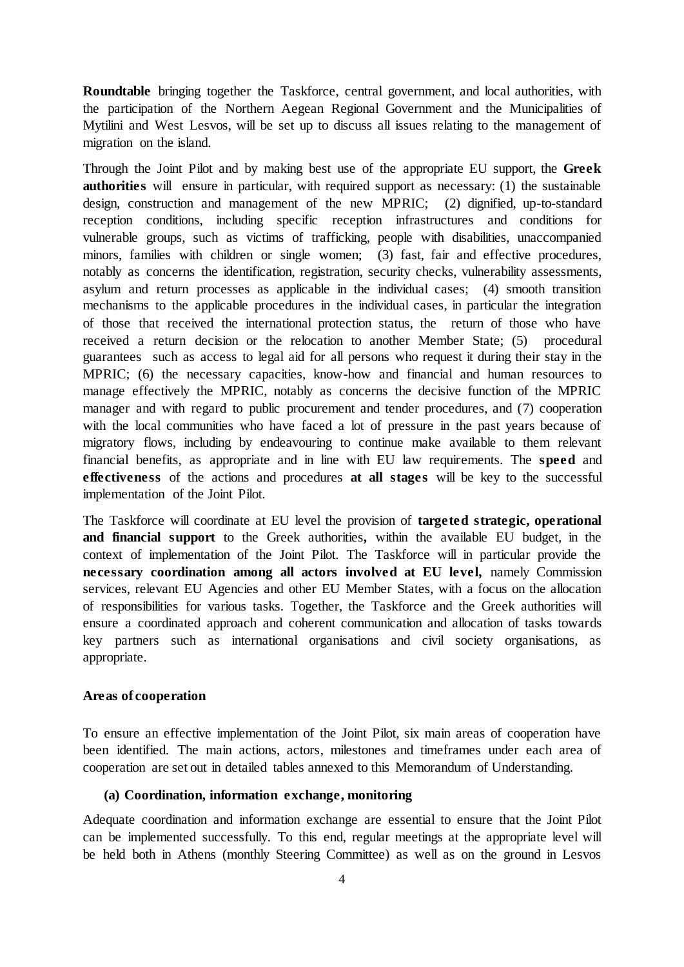**Roundtable** bringing together the Taskforce, central government, and local authorities, with the participation of the Northern Aegean Regional Government and the Municipalities of Mytilini and West Lesvos, will be set up to discuss all issues relating to the management of migration on the island.

Through the Joint Pilot and by making best use of the appropriate EU support, the **Greek authorities** will ensure in particular, with required support as necessary: (1) the sustainable design, construction and management of the new MPRIC; (2) dignified, up-to-standard reception conditions, including specific reception infrastructures and conditions for vulnerable groups, such as victims of trafficking, people with disabilities, unaccompanied minors, families with children or single women; (3) fast, fair and effective procedures, notably as concerns the identification, registration, security checks, vulnerability assessments, asylum and return processes as applicable in the individual cases; (4) smooth transition mechanisms to the applicable procedures in the individual cases, in particular the integration of those that received the international protection status, the return of those who have received a return decision or the relocation to another Member State; (5) procedural guarantees such as access to legal aid for all persons who request it during their stay in the MPRIC; (6) the necessary capacities, know-how and financial and human resources to manage effectively the MPRIC, notably as concerns the decisive function of the MPRIC manager and with regard to public procurement and tender procedures, and (7) cooperation with the local communities who have faced a lot of pressure in the past years because of migratory flows, including by endeavouring to continue make available to them relevant financial benefits, as appropriate and in line with EU law requirements. The **speed** and **effectiveness** of the actions and procedures **at all stages** will be key to the successful implementation of the Joint Pilot.

The Taskforce will coordinate at EU level the provision of **targeted strategic, operational and financial support** to the Greek authorities**,** within the available EU budget, in the context of implementation of the Joint Pilot. The Taskforce will in particular provide the **necessary coordination among all actors involved at EU level,** namely Commission services, relevant EU Agencies and other EU Member States, with a focus on the allocation of responsibilities for various tasks. Together, the Taskforce and the Greek authorities will ensure a coordinated approach and coherent communication and allocation of tasks towards key partners such as international organisations and civil society organisations, as appropriate.

#### **Areas of cooperation**

To ensure an effective implementation of the Joint Pilot, six main areas of cooperation have been identified. The main actions, actors, milestones and timeframes under each area of cooperation are set out in detailed tables annexed to this Memorandum of Understanding.

#### **(a) Coordination, information exchange, monitoring**

Adequate coordination and information exchange are essential to ensure that the Joint Pilot can be implemented successfully. To this end, regular meetings at the appropriate level will be held both in Athens (monthly Steering Committee) as well as on the ground in Lesvos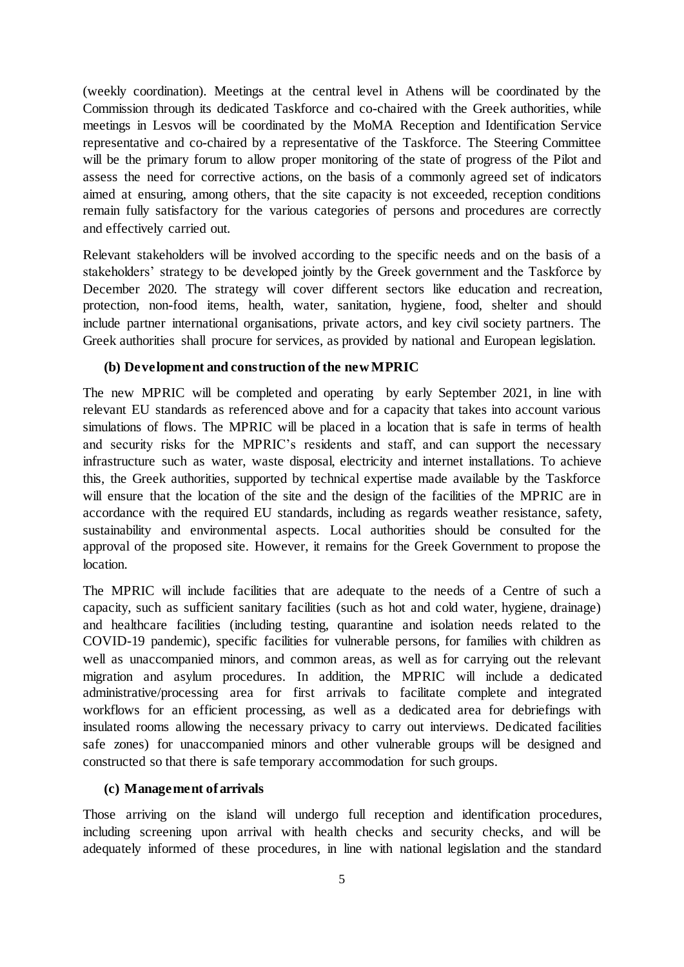(weekly coordination). Meetings at the central level in Athens will be coordinated by the Commission through its dedicated Taskforce and co-chaired with the Greek authorities, while meetings in Lesvos will be coordinated by the MoMA Reception and Identification Service representative and co-chaired by a representative of the Taskforce. The Steering Committee will be the primary forum to allow proper monitoring of the state of progress of the Pilot and assess the need for corrective actions, on the basis of a commonly agreed set of indicators aimed at ensuring, among others, that the site capacity is not exceeded, reception conditions remain fully satisfactory for the various categories of persons and procedures are correctly and effectively carried out.

Relevant stakeholders will be involved according to the specific needs and on the basis of a stakeholders' strategy to be developed jointly by the Greek government and the Taskforce by December 2020. The strategy will cover different sectors like education and recreation, protection, non-food items, health, water, sanitation, hygiene, food, shelter and should include partner international organisations, private actors, and key civil society partners. The Greek authorities shall procure for services, as provided by national and European legislation.

#### **(b) Development and construction of the new MPRIC**

The new MPRIC will be completed and operating by early September 2021, in line with relevant EU standards as referenced above and for a capacity that takes into account various simulations of flows. The MPRIC will be placed in a location that is safe in terms of health and security risks for the MPRIC's residents and staff, and can support the necessary infrastructure such as water, waste disposal, electricity and internet installations. To achieve this, the Greek authorities, supported by technical expertise made available by the Taskforce will ensure that the location of the site and the design of the facilities of the MPRIC are in accordance with the required EU standards, including as regards weather resistance, safety, sustainability and environmental aspects. Local authorities should be consulted for the approval of the proposed site. However, it remains for the Greek Government to propose the location.

The MPRIC will include facilities that are adequate to the needs of a Centre of such a capacity, such as sufficient sanitary facilities (such as hot and cold water, hygiene, drainage) and healthcare facilities (including testing, quarantine and isolation needs related to the COVID-19 pandemic), specific facilities for vulnerable persons, for families with children as well as unaccompanied minors, and common areas, as well as for carrying out the relevant migration and asylum procedures. In addition, the MPRIC will include a dedicated administrative/processing area for first arrivals to facilitate complete and integrated workflows for an efficient processing, as well as a dedicated area for debriefings with insulated rooms allowing the necessary privacy to carry out interviews. Dedicated facilities safe zones) for unaccompanied minors and other vulnerable groups will be designed and constructed so that there is safe temporary accommodation for such groups.

## **(c) Management of arrivals**

Those arriving on the island will undergo full reception and identification procedures, including screening upon arrival with health checks and security checks, and will be adequately informed of these procedures, in line with national legislation and the standard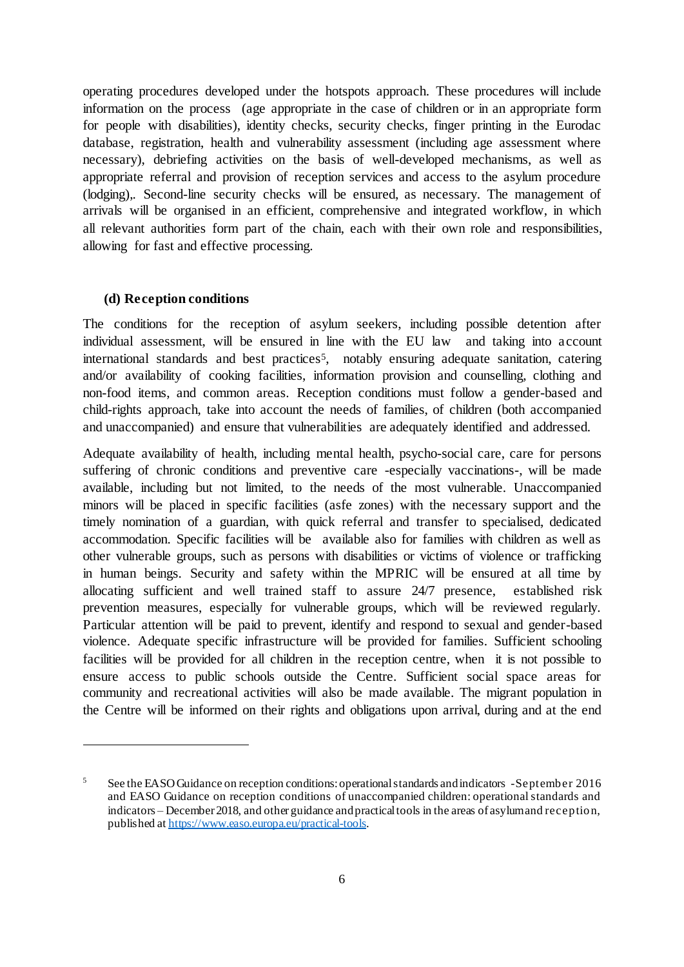operating procedures developed under the hotspots approach. These procedures will include information on the process (age appropriate in the case of children or in an appropriate form for people with disabilities), identity checks, security checks, finger printing in the Eurodac database, registration, health and vulnerability assessment (including age assessment where necessary), debriefing activities on the basis of well-developed mechanisms, as well as appropriate referral and provision of reception services and access to the asylum procedure (lodging),. Second-line security checks will be ensured, as necessary. The management of arrivals will be organised in an efficient, comprehensive and integrated workflow, in which all relevant authorities form part of the chain, each with their own role and responsibilities, allowing for fast and effective processing.

#### **(d) Reception conditions**

 $\overline{a}$ 

The conditions for the reception of asylum seekers, including possible detention after individual assessment, will be ensured in line with the EU law and taking into account international standards and best practices<sup>5</sup>, notably ensuring adequate sanitation, catering and/or availability of cooking facilities, information provision and counselling, clothing and non-food items, and common areas. Reception conditions must follow a gender-based and child-rights approach, take into account the needs of families, of children (both accompanied and unaccompanied) and ensure that vulnerabilities are adequately identified and addressed.

Adequate availability of health, including mental health, psycho-social care, care for persons suffering of chronic conditions and preventive care -especially vaccinations-, will be made available, including but not limited, to the needs of the most vulnerable. Unaccompanied minors will be placed in specific facilities (asfe zones) with the necessary support and the timely nomination of a guardian, with quick referral and transfer to specialised, dedicated accommodation. Specific facilities will be available also for families with children as well as other vulnerable groups, such as persons with disabilities or victims of violence or trafficking in human beings. Security and safety within the MPRIC will be ensured at all time by allocating sufficient and well trained staff to assure 24/7 presence, established risk prevention measures, especially for vulnerable groups, which will be reviewed regularly. Particular attention will be paid to prevent, identify and respond to sexual and gender-based violence. Adequate specific infrastructure will be provided for families. Sufficient schooling facilities will be provided for all children in the reception centre, when it is not possible to ensure access to public schools outside the Centre. Sufficient social space areas for community and recreational activities will also be made available. The migrant population in the Centre will be informed on their rights and obligations upon arrival, during and at the end

<sup>5</sup> See the EASO Guidance on reception conditions: operational standards and indicators -September 2016 and EASO Guidance on reception conditions of unaccompanied children: operational standards and indicators – December 2018, and other guidance and practical tools in the areas of asylum and reception, published a[t https://www.easo.europa.eu/practical-tools](https://www.easo.europa.eu/practical-tools).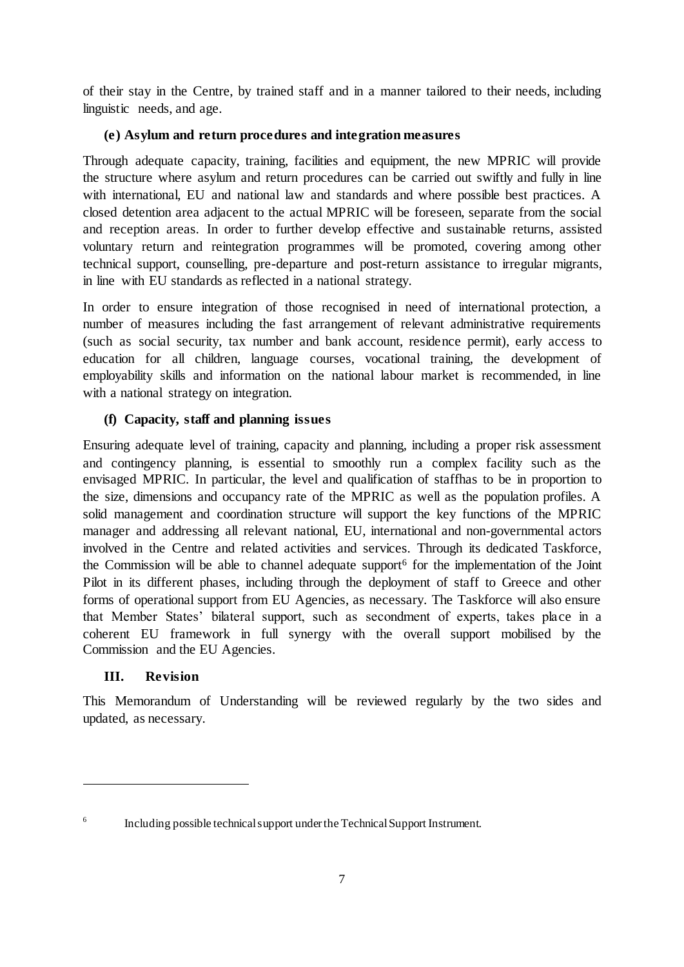of their stay in the Centre, by trained staff and in a manner tailored to their needs, including linguistic needs, and age.

## **(e) Asylum and return procedures and integration measures**

Through adequate capacity, training, facilities and equipment, the new MPRIC will provide the structure where asylum and return procedures can be carried out swiftly and fully in line with international, EU and national law and standards and where possible best practices. A closed detention area adjacent to the actual MPRIC will be foreseen, separate from the social and reception areas. In order to further develop effective and sustainable returns, assisted voluntary return and reintegration programmes will be promoted, covering among other technical support, counselling, pre-departure and post-return assistance to irregular migrants, in line with EU standards as reflected in a national strategy.

In order to ensure integration of those recognised in need of international protection, a number of measures including the fast arrangement of relevant administrative requirements (such as social security, tax number and bank account, residence permit), early access to education for all children, language courses, vocational training, the development of employability skills and information on the national labour market is recommended, in line with a national strategy on integration.

# **(f) Capacity, staff and planning issues**

Ensuring adequate level of training, capacity and planning, including a proper risk assessment and contingency planning, is essential to smoothly run a complex facility such as the envisaged MPRIC. In particular, the level and qualification of staffhas to be in proportion to the size, dimensions and occupancy rate of the MPRIC as well as the population profiles. A solid management and coordination structure will support the key functions of the MPRIC manager and addressing all relevant national, EU, international and non-governmental actors involved in the Centre and related activities and services. Through its dedicated Taskforce, the Commission will be able to channel adequate support<sup>6</sup> for the implementation of the Joint Pilot in its different phases, including through the deployment of staff to Greece and other forms of operational support from EU Agencies, as necessary. The Taskforce will also ensure that Member States' bilateral support, such as secondment of experts, takes place in a coherent EU framework in full synergy with the overall support mobilised by the Commission and the EU Agencies.

# **III. Revision**

 $\overline{a}$ 

This Memorandum of Understanding will be reviewed regularly by the two sides and updated, as necessary.

<sup>6</sup> Including possible technical support under the Technical Support Instrument.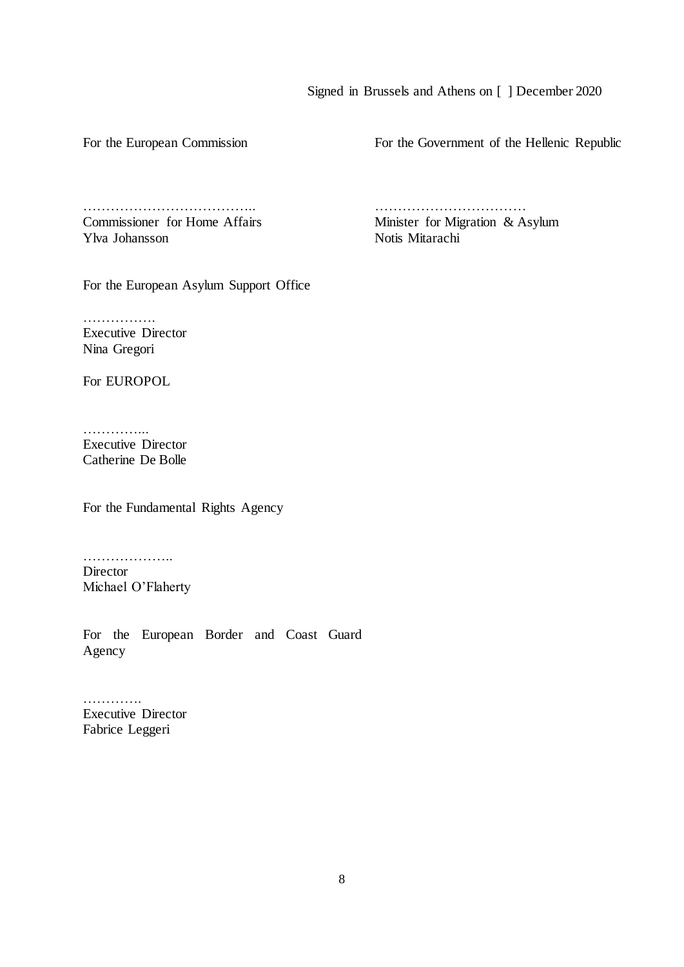#### Signed in Brussels and Athens on [ ] December 2020

For the European Commission

For the Government of the Hellenic Republic

……………………………….. Commissioner for Home Affairs Ylva Johansson

…………………………… Minister for Migration & Asylum Notis Mitarachi

For the European Asylum Support Office

……………… Executive Director Nina Gregori

For EUROPOL

…………… Executive Director Catherine De Bolle

For the Fundamental Rights Agency

……………….. Director Michael O'Flaherty

For the European Border and Coast Guard Agency

………… Executive Director Fabrice Leggeri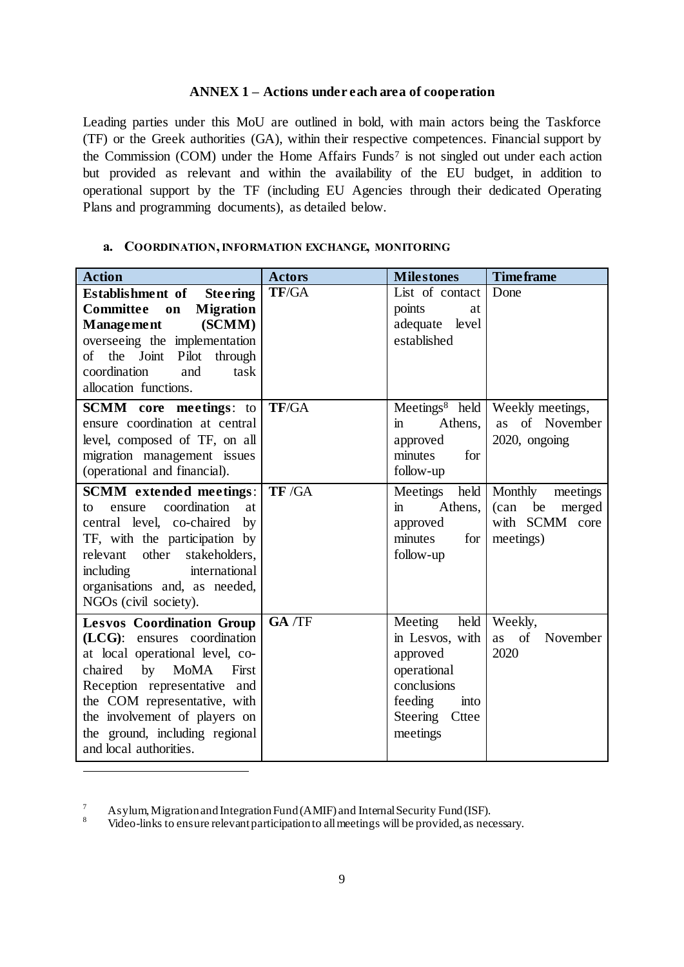## **ANNEX 1 – Actions under each area of cooperation**

Leading parties under this MoU are outlined in bold, with main actors being the Taskforce (TF) or the Greek authorities (GA), within their respective competences. Financial support by the Commission (COM) under the Home Affairs Funds<sup>7</sup> is not singled out under each action but provided as relevant and within the availability of the EU budget, in addition to operational support by the TF (including EU Agencies through their dedicated Operating Plans and programming documents), as detailed below.

| <b>Action</b>                                                                                                                                                                                                                                                                                                  | <b>Actors</b> | <b>Milestones</b>                                                                                                                | <b>Time frame</b>                                                                   |
|----------------------------------------------------------------------------------------------------------------------------------------------------------------------------------------------------------------------------------------------------------------------------------------------------------------|---------------|----------------------------------------------------------------------------------------------------------------------------------|-------------------------------------------------------------------------------------|
| <b>Establishment</b> of<br><b>Steering</b><br><b>Committee</b><br><b>Migration</b><br>on<br>(SCMM)<br>Management<br>overseeing the implementation<br>the Joint Pilot<br>through<br>of<br>coordination<br>and<br>task<br>allocation functions.                                                                  | TF/GA         | List of contact<br>points<br>at<br>adequate level<br>established                                                                 | Done                                                                                |
| <b>SCMM</b> core meetings: to<br>ensure coordination at central<br>level, composed of TF, on all<br>migration management issues<br>(operational and financial).                                                                                                                                                | TF/GA         | Athens,<br>in.<br>approved<br>minutes<br>for<br>follow-up                                                                        | Meetings <sup>8</sup> held   Weekly meetings,<br>of November<br>as<br>2020, ongoing |
| <b>SCMM</b> extended meetings:<br>coordination<br>ensure<br>at<br>to<br>central level, co-chaired<br>by<br>TF, with the participation by<br>other<br>stakeholders,<br>relevant<br>including<br>international<br>organisations and, as needed,<br>NGOs (civil society).                                         | TF /GA        | Meetings<br>held<br>Athens,<br>$\mathbf{m}$<br>approved<br>minutes<br>for<br>follow-up                                           | Monthly<br>meetings<br>(can be)<br>merged<br>with SCMM core<br>meetings)            |
| <b>Lesvos Coordination Group</b><br>ensures coordination<br>$(LCG)$ :<br>at local operational level, co-<br>by<br>chaired<br><b>MoMA</b><br>First<br>Reception representative and<br>the COM representative, with<br>the involvement of players on<br>the ground, including regional<br>and local authorities. | GA /TF        | Meeting<br>held<br>in Lesvos, with<br>approved<br>operational<br>conclusions<br>feeding<br>into<br>Steering<br>Cttee<br>meetings | Weekly,<br>of<br>November<br>as<br>2020                                             |

## **a. COORDINATION,INFORMATION EXCHANGE, MONITORING**

<sup>7</sup> Asylum, Migration and Integration Fund (AMIF) and Internal Security Fund (ISF).

<sup>8</sup> Video-links to ensure relevant participation to all meetings will be provided, as necessary.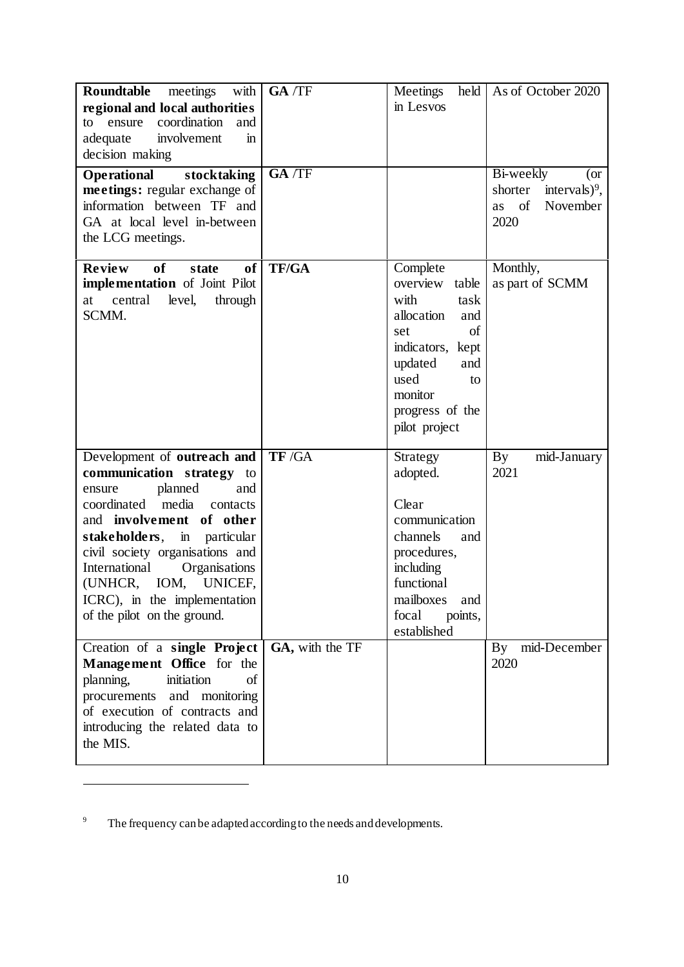<sup>&</sup>lt;sup>9</sup> The frequency can be adapted according to the needs and developments.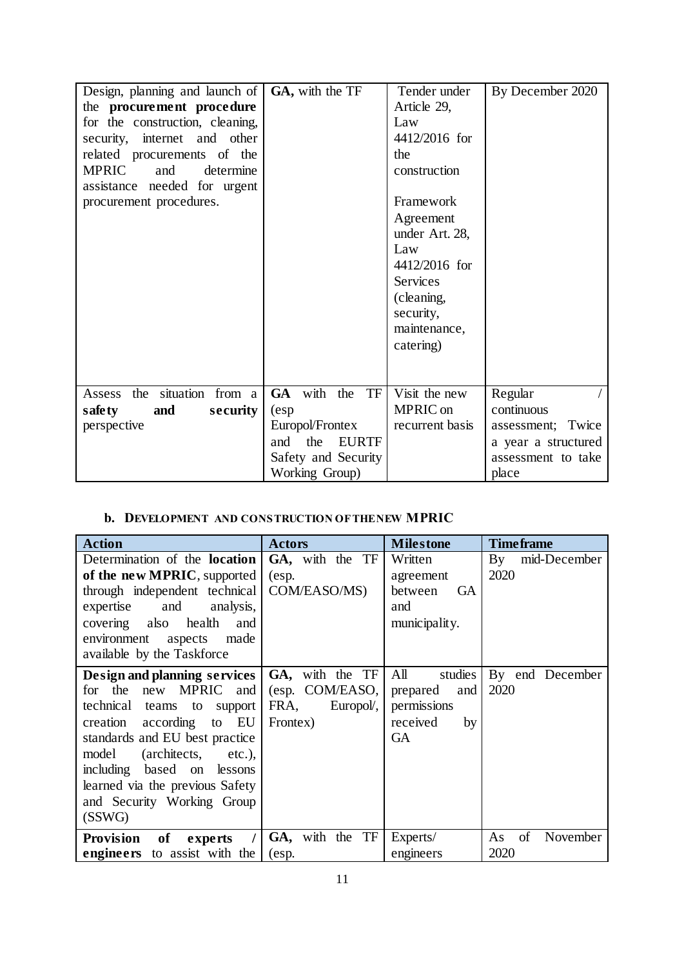| Design, planning and launch of<br>the procurement procedure<br>for the construction, cleaning,<br>security, internet and other | GA, with the TF                                                                                 | Tender under<br>Article 29,<br>Law<br>4412/2016 for                                                                                         | By December 2020                                                        |
|--------------------------------------------------------------------------------------------------------------------------------|-------------------------------------------------------------------------------------------------|---------------------------------------------------------------------------------------------------------------------------------------------|-------------------------------------------------------------------------|
| related procurements of the<br><b>MPRIC</b><br>and<br>determine<br>assistance needed for urgent                                |                                                                                                 | the<br>construction                                                                                                                         |                                                                         |
| procurement procedures.                                                                                                        |                                                                                                 | Framework<br>Agreement<br>under Art. 28,<br>Law<br>4412/2016 for<br><b>Services</b><br>(cleaning,<br>security,<br>maintenance,<br>catering) |                                                                         |
| Assess the situation<br>from a                                                                                                 | <b>GA</b><br>with<br>TF<br>the                                                                  | Visit the new<br>MPRIC on                                                                                                                   | Regular<br>continuous                                                   |
| safety<br>and<br>security<br>perspective                                                                                       | (esp)<br>Europol/Frontex<br>the<br><b>EURTF</b><br>and<br>Safety and Security<br>Working Group) | recurrent basis                                                                                                                             | assessment; Twice<br>a year a structured<br>assessment to take<br>place |

# **b. DEVELOPMENT AND CONSTRUCTION OF THE NEW MPRIC**

| <b>Action</b>                                                                                                                                                                                                                                                                                          | <b>Actors</b>                                                       | <b>Milestone</b>                                                                | <b>Time frame</b>            |
|--------------------------------------------------------------------------------------------------------------------------------------------------------------------------------------------------------------------------------------------------------------------------------------------------------|---------------------------------------------------------------------|---------------------------------------------------------------------------------|------------------------------|
| Determination of the <b>location</b><br>of the new MPRIC, supported<br>through independent technical<br>expertise<br>and<br>analysis,<br>covering also<br>health<br>and<br>environment<br>aspects<br>made<br>available by the Taskforce                                                                | GA, with the TF<br>(esp.<br>COM/EASO/MS)                            | Written<br>agreement<br>between<br><b>GA</b><br>and<br>municipality.            | By mid-December<br>2020      |
| Design and planning services<br>for the<br>MPRIC and<br>new<br>technical teams to<br>support<br>creation according to<br>EU<br>standards and EU best practice<br>(architects, etc.),<br>model<br>including based on lessons<br>learned via the previous Safety<br>and Security Working Group<br>(SSWG) | GA, with the TF<br>(esp. COM/EASO,<br>FRA,<br>Europol/,<br>Frontex) | All<br>studies<br>prepared<br>and<br>permissions<br>received<br>by<br><b>GA</b> | By end December<br>2020      |
| of<br><b>Provision</b><br>experts<br>engineers to assist with the                                                                                                                                                                                                                                      | GA, with the TF<br>(esp.                                            | Experts/<br>engineers                                                           | of<br>November<br>As<br>2020 |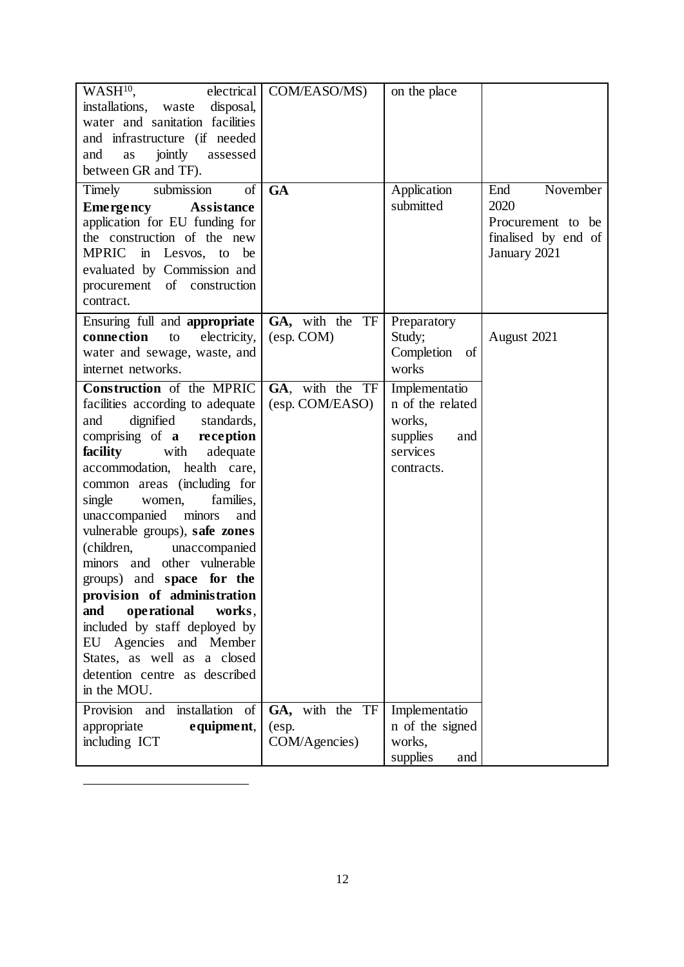| WASH <sup>10</sup> .<br>electrical<br>disposal,<br>installations, waste<br>water and sanitation facilities<br>and infrastructure (if needed<br>jointly<br>and<br>assessed<br>as<br>between GR and TF).                                                                                                                                                                                                                                                                                                                                                                                                                                               | COM/EASO/MS)                              | on the place                                                                             |                                                                                     |
|------------------------------------------------------------------------------------------------------------------------------------------------------------------------------------------------------------------------------------------------------------------------------------------------------------------------------------------------------------------------------------------------------------------------------------------------------------------------------------------------------------------------------------------------------------------------------------------------------------------------------------------------------|-------------------------------------------|------------------------------------------------------------------------------------------|-------------------------------------------------------------------------------------|
| Timely<br>submission<br>of<br><b>Emergency</b><br><b>Assistance</b><br>application for EU funding for<br>the construction of the new<br><b>MPRIC</b><br>in Lesvos, to<br>be<br>evaluated by Commission and<br>procurement of construction<br>contract.                                                                                                                                                                                                                                                                                                                                                                                               | <b>GA</b>                                 | Application<br>submitted                                                                 | November<br>End<br>2020<br>Procurement to be<br>finalised by end of<br>January 2021 |
| Ensuring full and appropriate<br>connection<br>electricity,<br>to<br>water and sewage, waste, and<br>internet networks.                                                                                                                                                                                                                                                                                                                                                                                                                                                                                                                              | GA, with the TF<br>(esp. COM)             | Preparatory<br>Study;<br>Completion of<br>works                                          | August 2021                                                                         |
| <b>Construction</b> of the MPRIC<br>facilities according to adequate<br>dignified<br>standards,<br>and<br>comprising of a reception<br>facility<br>with<br>adequate<br>accommodation, health care,<br>common areas (including for<br>families,<br>single<br>women,<br>minors<br>unaccompanied<br>and<br>vulnerable groups), safe zones<br>(children,<br>unaccompanied<br>minors and other vulnerable<br>groups) and <b>space</b> for the<br>provision of administration<br>operational<br>works,<br>and<br>included by staff deployed by<br>EU Agencies and Member<br>States, as well as<br>a closed<br>detention centre as described<br>in the MOU. | GA, with the TF<br>(esp. COM/EASO)        | Implementatio<br>n of the related<br>works,<br>supplies<br>and<br>services<br>contracts. |                                                                                     |
| Provision<br>installation of<br>and<br>equipment,<br>appropriate<br>including ICT                                                                                                                                                                                                                                                                                                                                                                                                                                                                                                                                                                    | GA, with the TF<br>(esp.<br>COM/Agencies) | Implementatio<br>n of the signed<br>works,<br>supplies<br>and                            |                                                                                     |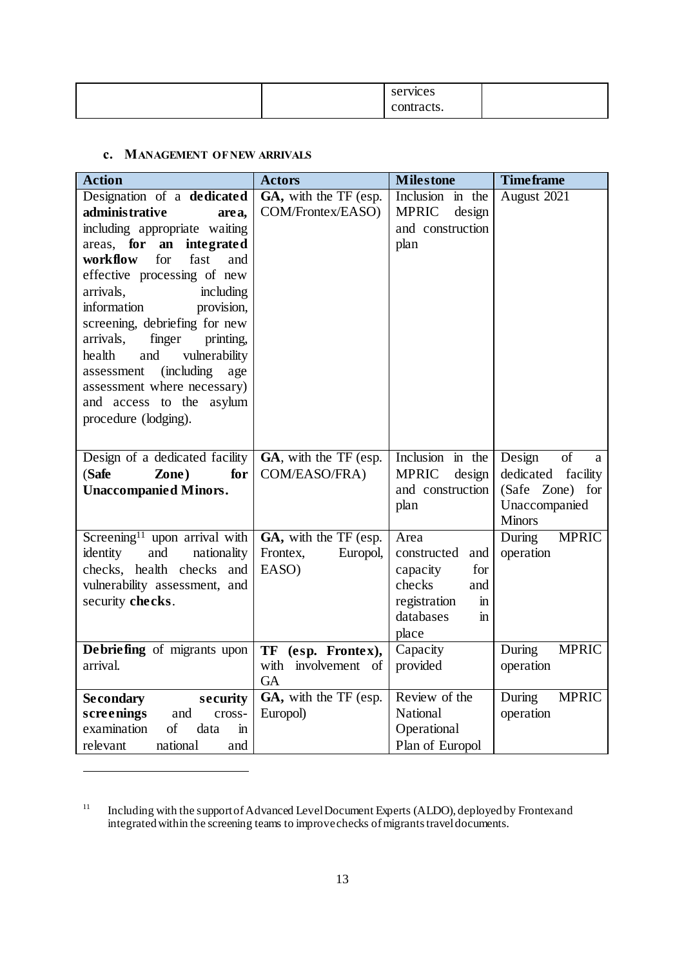|  | <b>vices</b><br>ser   |  |
|--|-----------------------|--|
|  | мu<br>acıs.<br>$\sim$ |  |

### **c. MANAGEMENT OF NEW ARRIVALS**

| <b>Action</b>                                                                                                                                                                                                                                                                                                                                                                                                                                                                  | <b>Actors</b>                                                | <b>Milestone</b>                                                                                                                      | <b>Time frame</b>                                                                            |
|--------------------------------------------------------------------------------------------------------------------------------------------------------------------------------------------------------------------------------------------------------------------------------------------------------------------------------------------------------------------------------------------------------------------------------------------------------------------------------|--------------------------------------------------------------|---------------------------------------------------------------------------------------------------------------------------------------|----------------------------------------------------------------------------------------------|
| Designation of a dedicated<br>administrative<br>area,<br>including appropriate waiting<br>areas, for<br>an<br>integrated<br>workflow<br>for<br>fast<br>and<br>effective processing of new<br>arrivals,<br>including<br>information<br>provision,<br>screening, debriefing for new<br>finger<br>arrivals,<br>printing,<br>health<br>and<br>vulnerability<br>(including)<br>assessment<br>age<br>assessment where necessary)<br>and access to the asylum<br>procedure (lodging). | GA, with the TF (esp.<br>COM/Frontex/EASO)                   | Inclusion in the<br><b>MPRIC</b><br>design<br>and construction<br>plan                                                                | August 2021                                                                                  |
| Design of a dedicated facility<br>(Safe<br>for<br>Zone)<br><b>Unaccompanied Minors.</b>                                                                                                                                                                                                                                                                                                                                                                                        | GA, with the TF (esp.<br>COM/EASO/FRA)                       | Inclusion in the<br><b>MPRIC</b><br>design<br>and construction<br>plan                                                                | Design<br>of<br>a<br>dedicated facility<br>(Safe Zone) for<br>Unaccompanied<br><b>Minors</b> |
| Screening <sup>11</sup> upon arrival with<br>identity<br>and<br>nationality<br>checks, health checks and<br>vulnerability assessment, and<br>security checks.                                                                                                                                                                                                                                                                                                                  | GA, with the TF (esp.<br>Europol,<br>Frontex,<br>EASO)       | Area<br>constructed<br>and<br>for<br>capacity<br>checks<br>and<br>registration<br>$\mathbf{in}$<br>databases<br>$\mathbf{m}$<br>place | During<br><b>MPRIC</b><br>operation                                                          |
| Debriefing of migrants upon<br>arrival.                                                                                                                                                                                                                                                                                                                                                                                                                                        | TF<br>(esp. Frontex),<br>with<br>involvement of<br><b>GA</b> | Capacity<br>provided                                                                                                                  | <b>MPRIC</b><br>During<br>operation                                                          |
| <b>Secondary</b><br>security<br>screenings<br>and<br>cross-<br>examination<br>of<br>data<br>$\mathbf{m}$<br>relevant<br>national<br>and                                                                                                                                                                                                                                                                                                                                        | $\overline{GA}$ , with the TF (esp.<br>Europol)              | Review of the<br>National<br>Operational<br>Plan of Europol                                                                           | <b>MPRIC</b><br>During<br>operation                                                          |

<sup>&</sup>lt;sup>11</sup> Including with the support of Advanced Level Document Experts (ALDO), deployed by Frontex and integrated within the screening teams to improve checks of migrants travel documents.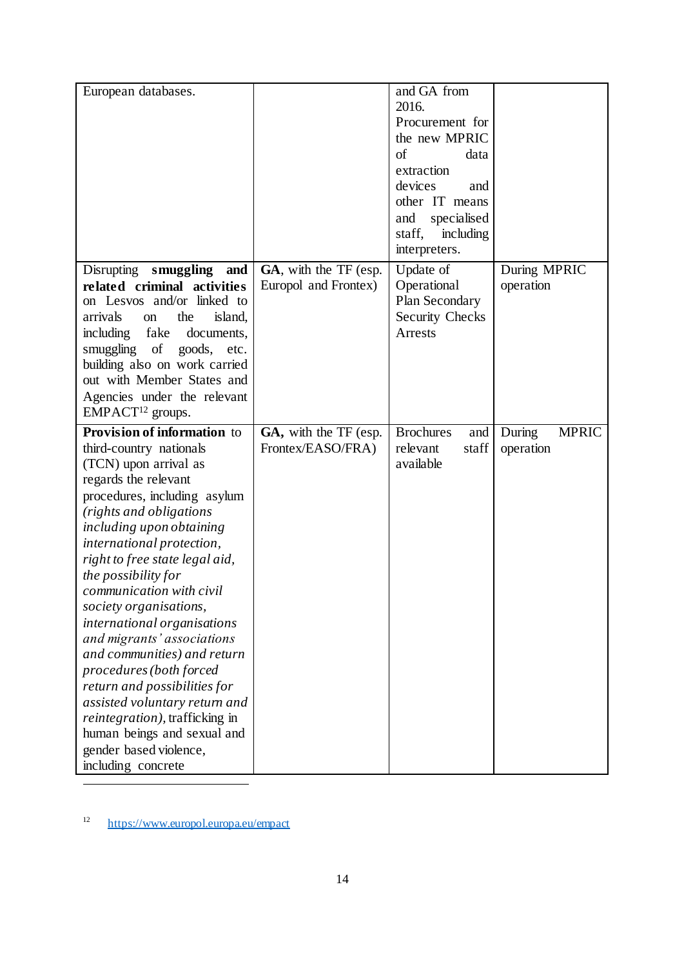| European databases.                                                                                                                                                                                                                                                                                                                                                                                                                                                                                                                                                                                                                                         |                                               | and GA from<br>2016.<br>Procurement for<br>the new MPRIC<br>of<br>data<br>extraction<br>devices<br>and<br>other IT means<br>specialised<br>and<br>including<br>staff,<br>interpreters. |                                     |
|-------------------------------------------------------------------------------------------------------------------------------------------------------------------------------------------------------------------------------------------------------------------------------------------------------------------------------------------------------------------------------------------------------------------------------------------------------------------------------------------------------------------------------------------------------------------------------------------------------------------------------------------------------------|-----------------------------------------------|----------------------------------------------------------------------------------------------------------------------------------------------------------------------------------------|-------------------------------------|
| Disrupting smuggling<br>and<br>related criminal activities<br>on Lesvos and/or linked to<br>the<br>island,<br>arrivals<br>on<br>including<br>fake<br>documents,<br>of<br>smuggling<br>goods, etc.<br>building also on work carried<br>out with Member States and<br>Agencies under the relevant<br>$EMPACT12$ groups.                                                                                                                                                                                                                                                                                                                                       | GA, with the TF (esp.<br>Europol and Frontex) | Update of<br>Operational<br>Plan Secondary<br><b>Security Checks</b><br><b>Arrests</b>                                                                                                 | During MPRIC<br>operation           |
| Provision of information to<br>third-country nationals<br>(TCN) upon arrival as<br>regards the relevant<br>procedures, including asylum<br>(rights and obligations<br>including upon obtaining<br>international protection,<br>right to free state legal aid,<br>the possibility for<br>communication with civil<br>society organisations,<br>international organisations<br>and migrants' associations<br>and communities) and return<br>procedures (both forced<br>return and possibilities for<br>assisted voluntary return and<br><i>reintegration</i> ), trafficking in<br>human beings and sexual and<br>gender based violence,<br>including concrete | GA, with the TF (esp.<br>Frontex/EASO/FRA)    | <b>Brochures</b><br>and<br>relevant<br>staff<br>available                                                                                                                              | During<br><b>MPRIC</b><br>operation |

<sup>12</sup> <https://www.europol.europa.eu/empact>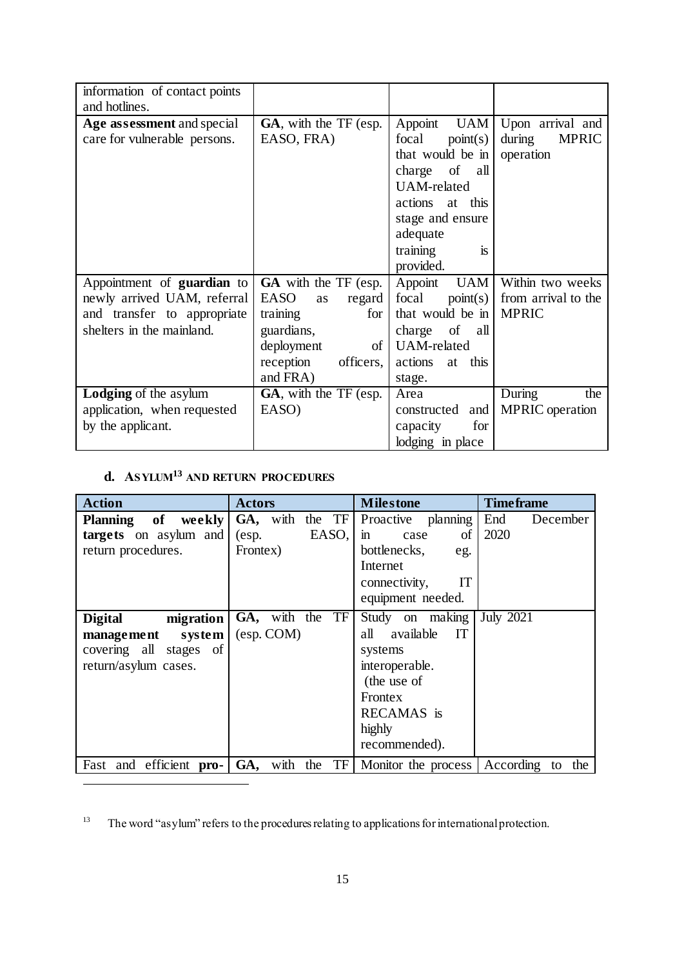| information of contact points     |                                    |                       |                        |
|-----------------------------------|------------------------------------|-----------------------|------------------------|
| and hotlines.                     |                                    |                       |                        |
| Age assessment and special        | GA, with the TF (esp.              | Appoint UAM           | Upon arrival and       |
| care for vulnerable persons.      | EASO, FRA)                         | focal<br>point(s)     | during<br><b>MPRIC</b> |
|                                   |                                    | that would be in      | operation              |
|                                   |                                    | charge of all         |                        |
|                                   |                                    | <b>UAM-related</b>    |                        |
|                                   |                                    | actions at this       |                        |
|                                   |                                    | stage and ensure      |                        |
|                                   |                                    | adequate              |                        |
|                                   |                                    | training<br>is        |                        |
|                                   |                                    | provided.             |                        |
| Appointment of <b>guardian</b> to | <b>GA</b> with the TF (esp.        | Appoint<br><b>UAM</b> | Within two weeks       |
| newly arrived UAM, referral       | <b>EASO</b><br>regard<br><b>as</b> | focal<br>point(s)     | from arrival to the    |
| and transfer to appropriate       | for<br>training                    | that would be in      | <b>MPRIC</b>           |
| shelters in the mainland.         | guardians,                         | charge of<br>all      |                        |
|                                   | deployment<br>of                   | <b>UAM-related</b>    |                        |
|                                   | reception<br>officers,             | at this<br>actions    |                        |
|                                   | and FRA)                           | stage.                |                        |
| <b>Lodging</b> of the asylum      | GA, with the TF (esp.              | Area                  | During<br>the          |
| application, when requested       | EASO)                              | constructed<br>and    | <b>MPRIC</b> operation |
| by the applicant.                 |                                    | for<br>capacity       |                        |
|                                   |                                    | lodging in place      |                        |

# **d. ASYLUM<sup>13</sup> AND RETURN PROCEDURES**

| <b>Action</b>                                  | <b>Actors</b>            | <b>Milestone</b>           | <b>Time frame</b>      |
|------------------------------------------------|--------------------------|----------------------------|------------------------|
| of<br>weekly<br><b>Planning</b>                | GA, with the TF          | Proactive planning         | End<br>December        |
| targets on asylum and                          | EASO,<br>$(\text{esp.})$ | of<br>$\mathbf{m}$<br>case | 2020                   |
| return procedures.                             | Frontex)                 | bottlenecks,<br>eg.        |                        |
|                                                |                          | Internet                   |                        |
|                                                |                          | IT<br>connectivity,        |                        |
|                                                |                          | equipment needed.          |                        |
| <b>Digital</b><br>migration                    | TF<br>GA, with the       | Study on making            | July $20\overline{21}$ |
| system<br>management                           | (esp. COM)               | available<br>IT<br>all     |                        |
| covering all stages of                         |                          | systems                    |                        |
| return/asylum cases.                           |                          | interoperable.             |                        |
|                                                |                          | (the use of                |                        |
|                                                |                          | <b>Frontex</b>             |                        |
|                                                |                          | RECAMAS is                 |                        |
|                                                |                          | highly                     |                        |
|                                                |                          | recommended).              |                        |
| Fast and efficient <b>pro-</b> GA, with the TF |                          | Monitor the process        | According to<br>the    |

<sup>&</sup>lt;sup>13</sup> The word "asylum" refers to the procedures relating to applications for international protection.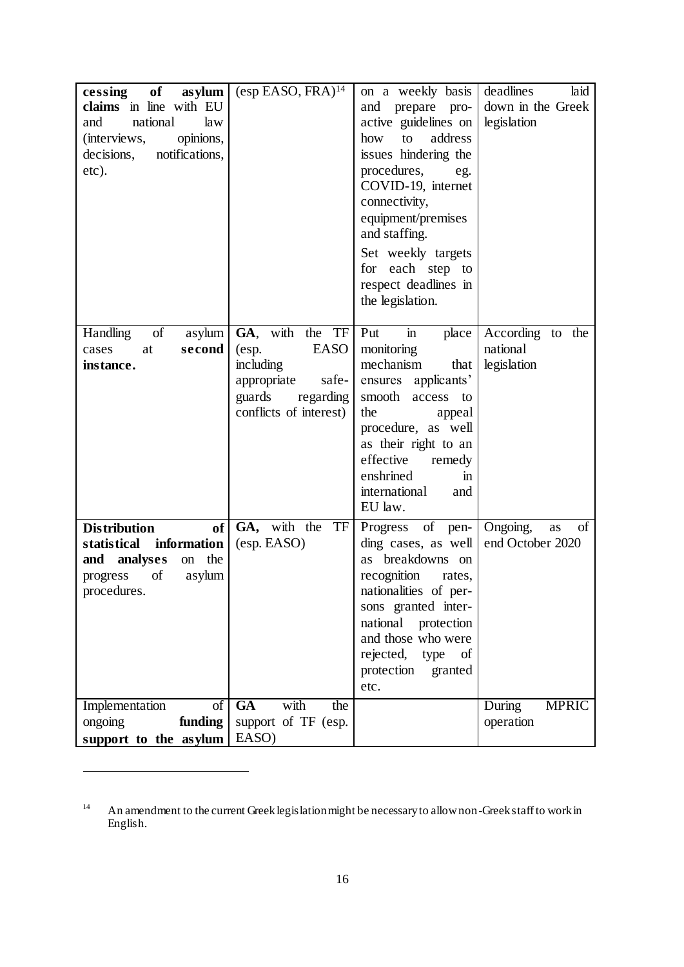| of<br>cessing<br>as ylum<br>claims in line with EU<br>national<br>and<br>law<br>opinions,<br>(interviews,<br>notifications,<br>decisions,<br>etc). | $(\text{esp EASO}, \text{FRA})^{14}$                                                                                          | on a weekly basis<br>and prepare pro-<br>active guidelines on<br>address<br>how<br>to<br>issues hindering the<br>procedures,<br>eg.<br>COVID-19, internet<br>connectivity,<br>equipment/premises<br>and staffing.<br>Set weekly targets<br>for each step to<br>respect deadlines in<br>the legislation. | deadlines<br>laid<br>down in the Greek<br>legislation |
|----------------------------------------------------------------------------------------------------------------------------------------------------|-------------------------------------------------------------------------------------------------------------------------------|---------------------------------------------------------------------------------------------------------------------------------------------------------------------------------------------------------------------------------------------------------------------------------------------------------|-------------------------------------------------------|
| of<br>Handling<br>asylum<br>second<br>cases<br>at<br>instance.                                                                                     | GA, with the TF<br><b>EASO</b><br>(esp.<br>including<br>appropriate<br>safe-<br>guards<br>regarding<br>conflicts of interest) | Put<br>$\mathbf{m}$<br>place<br>monitoring<br>mechanism<br>that<br>ensures applicants'<br>smooth access<br>to<br>the<br>appeal<br>procedure, as well<br>as their right to an<br>effective<br>remedy<br>enshrined<br>$\mathbf{m}$<br>international<br>and<br>EU law.                                     | According to the<br>national<br>legislation           |
| <b>Distribution</b><br>of<br>statistical<br>information<br>analyses<br>and<br>the<br>on<br>of<br>progress<br>asylum<br>procedures.                 | GA, with the<br>TF<br>(esp. EASO)                                                                                             | of<br>Progress<br>pen-<br>ding cases, as well<br>as breakdowns on<br>recognition<br>rates,<br>nationalities of per-<br>sons granted inter-<br>national protection<br>and those who were<br>rejected,<br>type<br><sub>of</sub><br>protection granted<br>etc.                                             | Ongoing,<br>of<br>as<br>end October 2020              |
| Implementation<br>of<br>funding<br>ongoing<br>support to the asylum                                                                                | <b>GA</b><br>with<br>the<br>support of TF (esp.<br>EASO)                                                                      |                                                                                                                                                                                                                                                                                                         | <b>MPRIC</b><br>During<br>operation                   |

<sup>&</sup>lt;sup>14</sup> An amendment to the current Greek legislation might be necessary to allow non-Greek staff to work in English.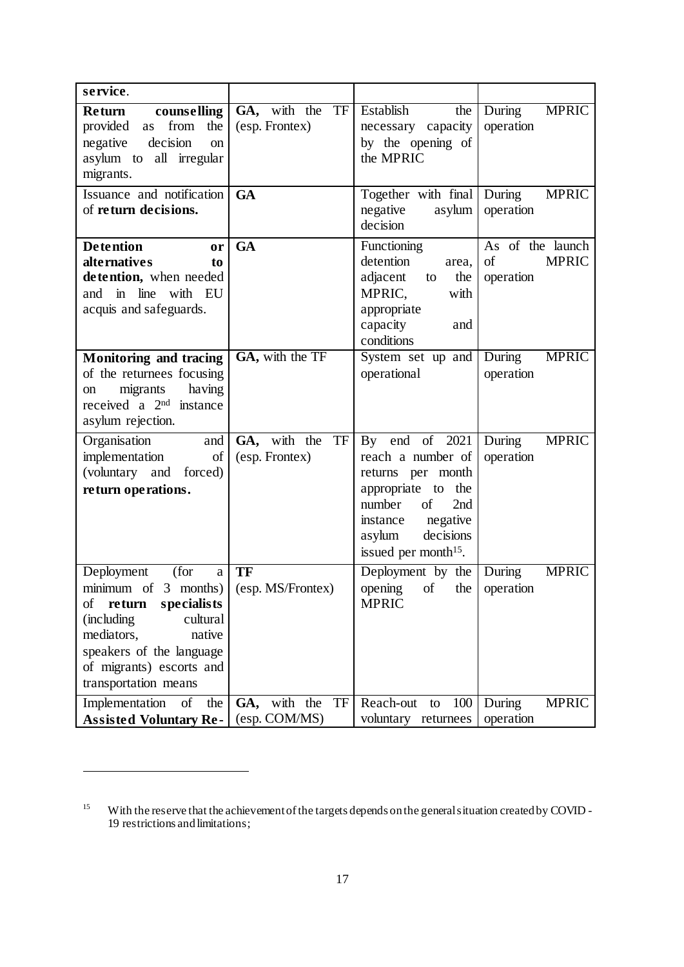| service.                                                                                                                                                                                                                                     |                                                    |                                                                                                                                                                                             |                                                     |
|----------------------------------------------------------------------------------------------------------------------------------------------------------------------------------------------------------------------------------------------|----------------------------------------------------|---------------------------------------------------------------------------------------------------------------------------------------------------------------------------------------------|-----------------------------------------------------|
| <b>Return</b><br>counselling<br>provided<br>from<br>the<br>as<br>negative<br>decision<br><sub>on</sub><br>asylum to all irregular<br>migrants.                                                                                               | $\overline{GA}$ , with the<br>TF<br>(esp. Frontex) | Establish<br>the<br>necessary capacity<br>by the opening of<br>the MPRIC                                                                                                                    | <b>MPRIC</b><br>During<br>operation                 |
| Issuance and notification<br>of return decisions.                                                                                                                                                                                            | <b>GA</b>                                          | Together with final<br>negative<br>asylum<br>decision                                                                                                                                       | During<br><b>MPRIC</b><br>operation                 |
| <b>Detention</b><br>or<br>alternatives<br>to<br>detention, when needed<br>and in line with EU<br>acquis and safeguards.                                                                                                                      | GA                                                 | Functioning<br>detention<br>area,<br>adjacent<br>the<br>to<br>MPRIC,<br>with<br>appropriate<br>capacity<br>and<br>conditions                                                                | As of the launch<br>of<br><b>MPRIC</b><br>operation |
| <b>Monitoring and tracing</b><br>of the returnees focusing<br>having<br>migrants<br>on<br>received a $2nd$ instance<br>asylum rejection.                                                                                                     | GA, with the TF                                    | System set up and<br>operational                                                                                                                                                            | <b>MPRIC</b><br>During<br>operation                 |
| Organisation<br>and<br>implementation<br>of<br>(voluntary and forced)<br>return operations.                                                                                                                                                  | GA, with the<br>TF<br>(esp. Frontex)               | By end of 2021<br>reach a number of<br>returns per month<br>appropriate to<br>the<br>number<br>of<br>2nd<br>negative<br>instance<br>decisions<br>asylum<br>issued per month <sup>15</sup> . | During<br><b>MPRIC</b><br>operation                 |
| (for<br>Deployment<br>$\rm{a}$<br>minimum of $3$ months) (esp. MS/Frontex)<br>return<br>specialists<br>οf<br>cultural<br>(including)<br>mediators,<br>native<br>speakers of the language<br>of migrants) escorts and<br>transportation means | TF                                                 | Deployment by the<br>opening<br>$\sigma f$<br>the<br><b>MPRIC</b>                                                                                                                           | <b>MPRIC</b><br>During<br>operation                 |
| Implementation<br>the<br>οf<br><b>Assisted Voluntary Re-</b>                                                                                                                                                                                 | with the<br>TF<br>GA,<br>(esp. COM/MS)             | Reach-out<br>100<br>to<br>voluntary returnees                                                                                                                                               | <b>MPRIC</b><br>During<br>operation                 |

<sup>&</sup>lt;sup>15</sup> With the reserve that the achievement of the targets depends on the general situation created by COVID -19 restrictions and limitations;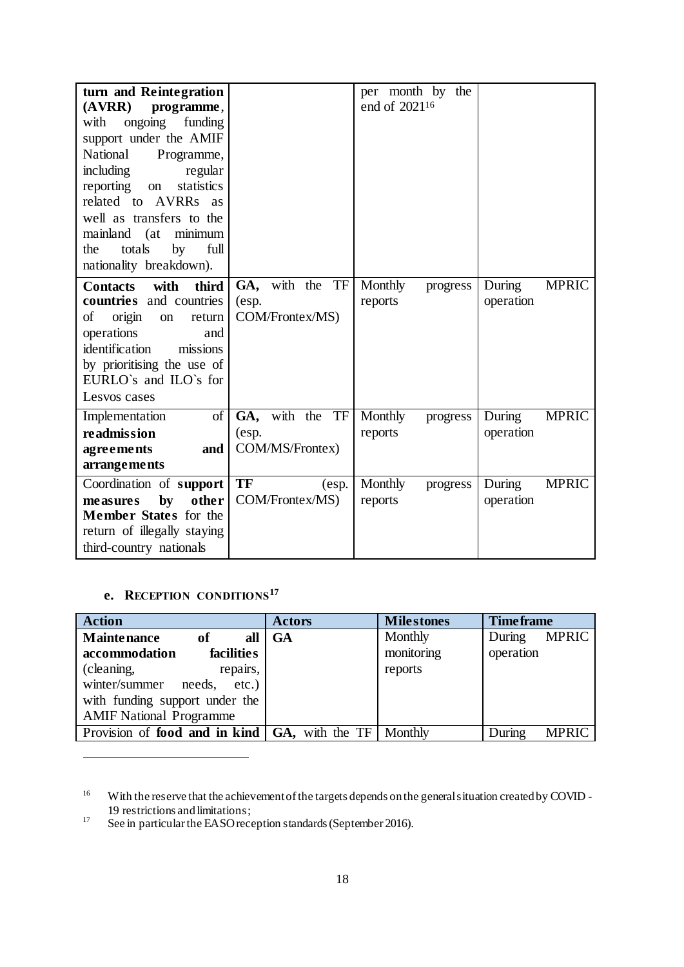| turn and Reintegration<br>(AVRR)<br>programme,<br>ongoing<br>funding<br>with<br>support under the AMIF<br>National<br>Programme,<br>including<br>regular<br>statistics<br>reporting<br>on<br>related to AVRRs as<br>well as transfers to the<br>mainland (at<br>minimum<br>totals<br>full<br>the<br>by<br>nationality breakdown). |                                                | per month by<br>the<br>end of 2021 <sup>16</sup> |                                     |
|-----------------------------------------------------------------------------------------------------------------------------------------------------------------------------------------------------------------------------------------------------------------------------------------------------------------------------------|------------------------------------------------|--------------------------------------------------|-------------------------------------|
| <b>Contacts</b><br>with<br>third<br>countries and countries<br>of<br>origin<br>return<br>on<br>operations<br>and<br>identification<br>missions<br>by prioritising the use of<br>EURLO's and ILO's for<br>Lesvos cases                                                                                                             | GA, with the<br>TF<br>(esp.<br>COM/Frontex/MS) | Monthly<br>progress<br>reports                   | <b>MPRIC</b><br>During<br>operation |
| of<br>Implementation<br>readmission<br>agreements<br>and<br>arrangements                                                                                                                                                                                                                                                          | GA, with the<br>TF<br>(esp.<br>COM/MS/Frontex) | Monthly<br>progress<br>reports                   | <b>MPRIC</b><br>During<br>operation |
| Coordination of support<br>by<br>other<br>measures<br>Member States for the<br>return of illegally staying<br>third-country nationals                                                                                                                                                                                             | <b>TF</b><br>(esp.<br>COM/Frontex/MS)          | Monthly<br>progress<br>reports                   | During<br><b>MPRIC</b><br>operation |

# **e. RECEPTION CONDITIONS<sup>17</sup>**

| <b>Action</b>                        | <b>Actors</b>           | <b>Milestones</b> | <b>Time frame</b>      |
|--------------------------------------|-------------------------|-------------------|------------------------|
| <b>Maintenance</b><br>of<br>all      | <b>GA</b>               | Monthly           | MPRIC<br>During        |
| accommodation<br>facilities          |                         | monitoring        | operation              |
| repairs,<br>(cleaning,               |                         | reports           |                        |
| winter/summer<br>needs,<br>$etc.$ )  |                         |                   |                        |
| with funding support under the       |                         |                   |                        |
| <b>AMIF National Programme</b>       |                         |                   |                        |
| Provision of <b>food and in kind</b> | <b>GA</b> , with the TF | Monthly           | During<br><b>MPRIC</b> |

<sup>&</sup>lt;sup>16</sup> With the reserve that the achievement of the targets depends on the general situation created by COVID -19 restrictions and limitations;

<sup>&</sup>lt;sup>17</sup> See in particular the EASO reception standards (September 2016).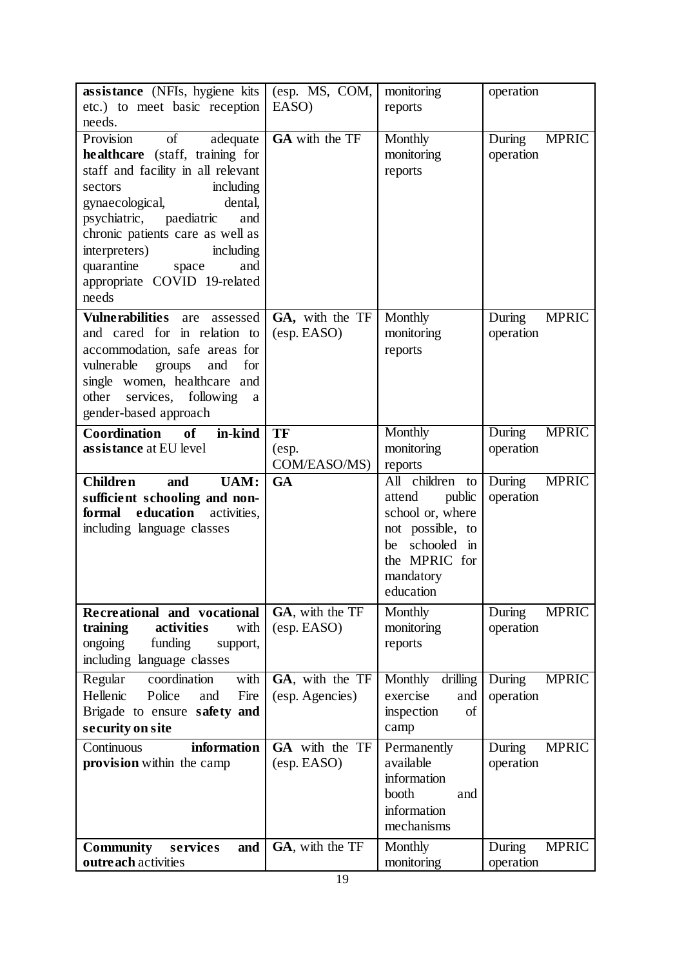| assistance (NFIs, hygiene kits<br>etc.) to meet basic reception                                                                                                                                                                                                                                                                                 | (esp. MS, COM,<br>EASO)                                   | monitoring<br>reports                                                                                                    | operation                                                                   |
|-------------------------------------------------------------------------------------------------------------------------------------------------------------------------------------------------------------------------------------------------------------------------------------------------------------------------------------------------|-----------------------------------------------------------|--------------------------------------------------------------------------------------------------------------------------|-----------------------------------------------------------------------------|
| needs.                                                                                                                                                                                                                                                                                                                                          |                                                           |                                                                                                                          |                                                                             |
| of<br>Provision<br>adequate<br><b>healthcare</b> (staff, training for<br>staff and facility in all relevant<br>including<br>sectors<br>gynaecological,<br>dental,<br>paediatric<br>psychiatric,<br>and<br>chronic patients care as well as<br>interpreters)<br>including<br>quarantine<br>and<br>space<br>appropriate COVID 19-related<br>needs | GA with the TF                                            | Monthly<br>monitoring<br>reports                                                                                         | During<br><b>MPRIC</b><br>operation                                         |
| <b>Vulne rabilities</b><br>are<br>assessed<br>and cared for in relation to<br>accommodation, safe areas for<br>vulnerable<br>groups<br>and<br>for<br>single women, healthcare and<br>services, following<br>other<br>a<br>gender-based approach                                                                                                 | GA, with the TF<br>(esp. EASO)                            | Monthly<br>monitoring<br>reports                                                                                         | During<br><b>MPRIC</b><br>operation                                         |
| <b>Coordination</b><br><b>of</b><br>in-kind<br>assistance at EU level                                                                                                                                                                                                                                                                           | TF<br>(esp.<br>COM/EASO/MS)                               | Monthly<br>monitoring<br>reports                                                                                         | <b>MPRIC</b><br>During<br>operation                                         |
| UAM:<br><b>Children</b><br>and                                                                                                                                                                                                                                                                                                                  | <b>GA</b>                                                 | children<br>All<br>to                                                                                                    | During<br><b>MPRIC</b>                                                      |
| sufficient schooling and non-<br>formal education<br>activities,<br>including language classes                                                                                                                                                                                                                                                  |                                                           | attend<br>public<br>school or, where<br>not possible, to<br>schooled in<br>be<br>the MPRIC for<br>mandatory<br>education | operation                                                                   |
| Recreational and vocational<br>training<br>activities<br>with<br>ongoing<br>funding<br>support,<br>including language classes                                                                                                                                                                                                                   | GA, with the TF<br>$(\text{esp. EASO})$                   | Monthly<br>monitoring<br>reports                                                                                         | During<br><b>MPRIC</b><br>operation                                         |
| Regular<br>coordination<br>with<br>Hellenic<br>Police<br>Fire<br>and<br>Brigade to ensure safety and<br>security on site                                                                                                                                                                                                                        | GA, with the TF<br>(esp. Agencies)                        | drilling<br>Monthly<br>exercise<br>and<br>of<br>inspection<br>camp                                                       | <b>MPRIC</b><br>During<br>operation                                         |
| Continuous<br>information<br>provision within the camp<br><b>Community</b><br>services<br>and                                                                                                                                                                                                                                                   | GA with the TF<br>$(\text{esp. EASO})$<br>GA, with the TF | Permanently<br>available<br>information<br>booth<br>and<br>information<br>mechanisms<br>Monthly                          | <b>MPRIC</b><br>During<br>operation<br>$\overline{D}$ uring<br><b>MPRIC</b> |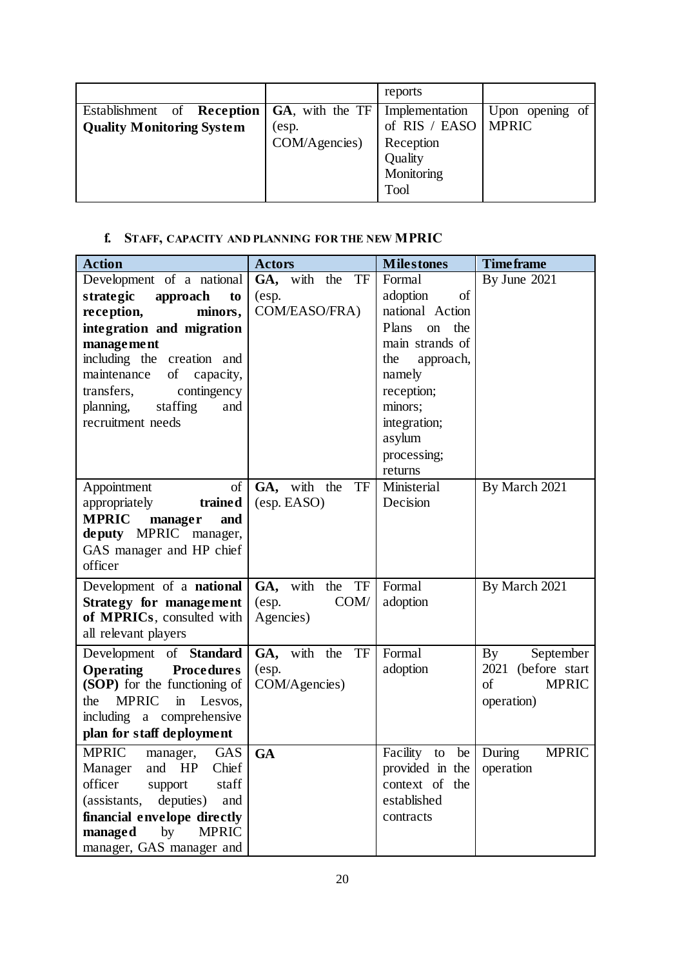|                                  |                    | reports               |                 |
|----------------------------------|--------------------|-----------------------|-----------------|
| Reception<br>Establishment of    | $GA$ , with the TF | Implementation        | Upon opening of |
| <b>Quality Monitoring System</b> | (esp.              | of RIS / EASO   MPRIC |                 |
|                                  | COM/Agencies)      | Reception             |                 |
|                                  |                    | Quality               |                 |
|                                  |                    | Monitoring            |                 |
|                                  |                    | Tool                  |                 |

# **f. STAFF, CAPACITY AND PLANNING FOR THE NEW MPRIC**

| <b>Action</b>                         | <b>Actors</b>      | <b>Milestones</b>         | <b>Timeframe</b>                    |
|---------------------------------------|--------------------|---------------------------|-------------------------------------|
| Development of a national             | GA, with the TF    | Formal                    | By June 2021                        |
| strategic<br>approach<br>to           | (esp.              | adoption<br>of            |                                     |
| reception,<br>minors,                 | COM/EASO/FRA)      | national Action           |                                     |
| integration and migration             |                    | Plans<br>the<br>on        |                                     |
| management                            |                    | main strands of           |                                     |
| including the creation and            |                    | the<br>approach,          |                                     |
| maintenance of capacity,              |                    | namely                    |                                     |
| contingency<br>transfers,             |                    | reception;                |                                     |
| planning,<br>staffing<br>and          |                    | minors;                   |                                     |
| recruitment needs                     |                    | integration;              |                                     |
|                                       |                    | asylum                    |                                     |
|                                       |                    | processing;               |                                     |
|                                       |                    | returns                   |                                     |
| Appointment<br>of                     | GA, with the<br>TF | Ministerial               | By March 2021                       |
| trained<br>appropriately              | (esp. EASO)        | Decision                  |                                     |
| <b>MPRIC</b><br>manager<br>and        |                    |                           |                                     |
| deputy MPRIC manager,                 |                    |                           |                                     |
| GAS manager and HP chief              |                    |                           |                                     |
| officer                               |                    |                           |                                     |
| Development of a <b>national</b>      | GA, with<br>the TF | Formal                    | By March 2021                       |
| <b>Strategy for management</b>        | COM/<br>(esp.      | adoption                  |                                     |
| of MPRICs, consulted with             | Agencies)          |                           |                                     |
| all relevant players                  |                    |                           |                                     |
| Development of <b>Standard</b>        | TF<br>GA, with the | Formal                    | September<br>$\mathbf{B}\mathbf{y}$ |
| <b>Procedures</b><br><b>Operating</b> | (esp.              | adoption                  | 2021 (before start                  |
| (SOP) for the functioning of          | COM/Agencies)      |                           | of<br><b>MPRIC</b>                  |
| <b>MPRIC</b><br>the<br>in Lesvos,     |                    |                           | operation)                          |
| including a comprehensive             |                    |                           |                                     |
| plan for staff deployment             |                    |                           |                                     |
| <b>MPRIC</b><br>manager, GAS          | <b>GA</b>          | Facility                  | to be During<br><b>MPRIC</b>        |
| Manager and HP Chief                  |                    | provided in the operation |                                     |
| officer<br>staff<br>support           |                    | context of the            |                                     |
| deputies)<br>(assistants,<br>and      |                    | established               |                                     |
| financial envelope directly           |                    | contracts                 |                                     |
| by<br>managed<br><b>MPRIC</b>         |                    |                           |                                     |
| manager, GAS manager and              |                    |                           |                                     |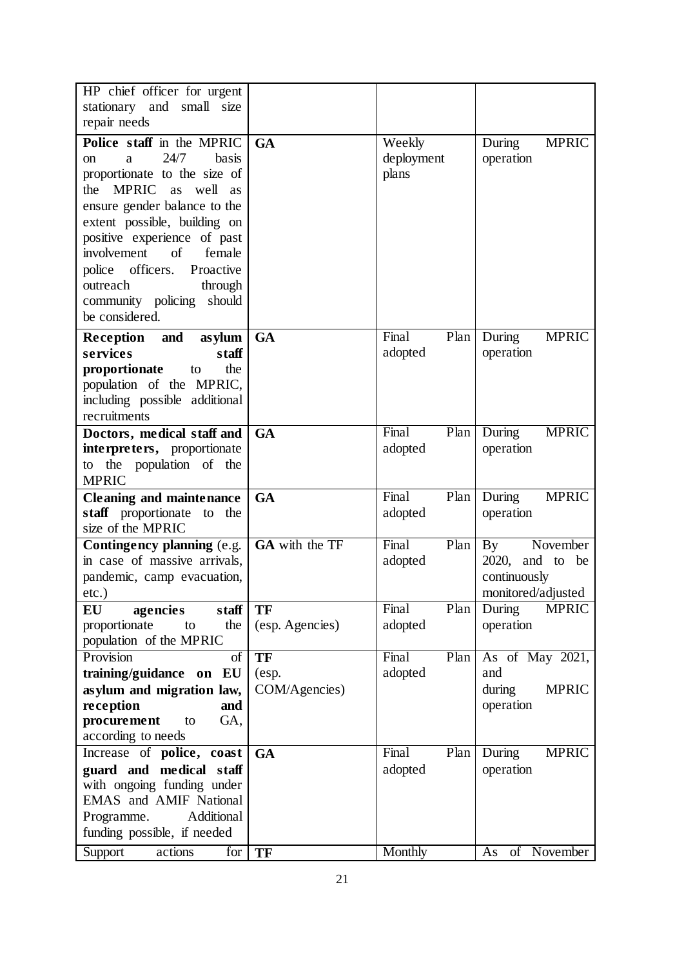| HP chief officer for urgent                                                                                                                                                                                                                                                                                                                                     |                                     |                               |                                                                                                 |
|-----------------------------------------------------------------------------------------------------------------------------------------------------------------------------------------------------------------------------------------------------------------------------------------------------------------------------------------------------------------|-------------------------------------|-------------------------------|-------------------------------------------------------------------------------------------------|
| stationary and small size                                                                                                                                                                                                                                                                                                                                       |                                     |                               |                                                                                                 |
| repair needs                                                                                                                                                                                                                                                                                                                                                    |                                     |                               |                                                                                                 |
| Police staff in the MPRIC<br>24/7<br>basis<br>on<br>a<br>proportionate to the size of<br>MPRIC as well<br>the<br><b>as</b><br>ensure gender balance to the<br>extent possible, building on<br>positive experience of past<br>involvement<br>of<br>female<br>police officers.<br>Proactive<br>outreach<br>through<br>community policing should<br>be considered. | <b>GA</b>                           | Weekly<br>deployment<br>plans | During<br><b>MPRIC</b><br>operation                                                             |
| Reception and<br>asylum<br>services<br>staff<br>proportionate<br>the<br>to<br>population of the MPRIC,<br>including possible additional<br>recruitments                                                                                                                                                                                                         | <b>GA</b>                           | Final<br>Plan<br>adopted      | <b>MPRIC</b><br>During<br>operation                                                             |
| Doctors, medical staff and<br>interpreters, proportionate<br>to the population of the<br><b>MPRIC</b>                                                                                                                                                                                                                                                           | <b>GA</b>                           | Final<br>Plan<br>adopted      | During<br><b>MPRIC</b><br>operation                                                             |
| Cleaning and maintenance<br>staff proportionate to the<br>size of the MPRIC                                                                                                                                                                                                                                                                                     | <b>GA</b>                           | Final<br>Plan<br>adopted      | <b>MPRIC</b><br>During<br>operation                                                             |
| Contingency planning (e.g.<br>in case of massive arrivals,<br>pandemic, camp evacuation,<br>$etc.$ )                                                                                                                                                                                                                                                            | GA with the TF                      | Final<br>Plan<br>adopted      | November<br>$\mathbf{B} \mathbf{y}$<br>$2020$ , and to be<br>continuously<br>monitored/adjusted |
| staff<br>EU<br>agencies<br>proportionate<br>the<br>to<br>population of the MPRIC                                                                                                                                                                                                                                                                                | TF<br>(esp. Agencies)               | Final<br>Plan<br>adopted      | <b>MPRIC</b><br>During<br>operation                                                             |
| Provision<br>of<br>training/guidance on EU<br>asylum and migration law,<br>reception<br>and<br>procurement<br>GA,<br>to<br>according to needs                                                                                                                                                                                                                   | <b>TF</b><br>(esp.<br>COM/Agencies) | Final<br>Plan<br>adopted      | As of May 2021,<br>and<br>during<br><b>MPRIC</b><br>operation                                   |
| Increase of police, coast<br>guard and medical staff<br>with ongoing funding under<br>EMAS and AMIF National<br>Additional<br>Programme.<br>funding possible, if needed                                                                                                                                                                                         | <b>GA</b>                           | Final<br>Plan<br>adopted      | <b>MPRIC</b><br>During<br>operation                                                             |
| Support<br>actions<br>for                                                                                                                                                                                                                                                                                                                                       | TF                                  | Monthly                       | of November<br>As                                                                               |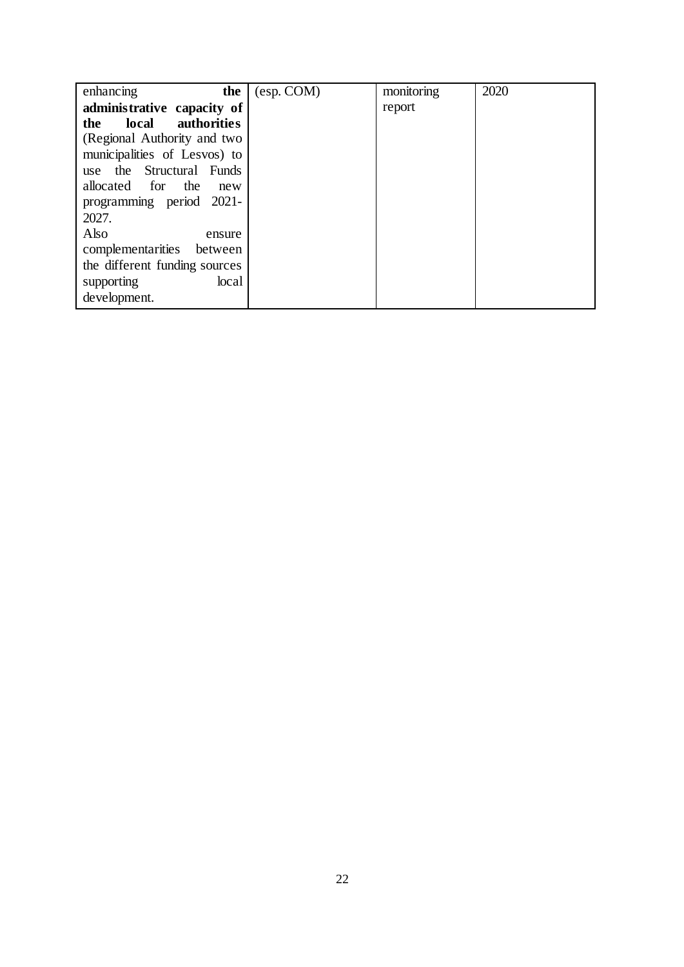| the<br>enhancing                   | (esp. COM) | monitoring | 2020 |
|------------------------------------|------------|------------|------|
| administrative capacity of         |            | report     |      |
| <b>authorities</b><br>local<br>the |            |            |      |
| (Regional Authority and two        |            |            |      |
| municipalities of Lesvos) to       |            |            |      |
| use the Structural Funds           |            |            |      |
| the<br>allocated for<br>new        |            |            |      |
| programming period 2021-           |            |            |      |
| 2027.                              |            |            |      |
| Also<br>ensure                     |            |            |      |
| complementarities<br>between       |            |            |      |
| the different funding sources      |            |            |      |
| supporting<br>local                |            |            |      |
| development.                       |            |            |      |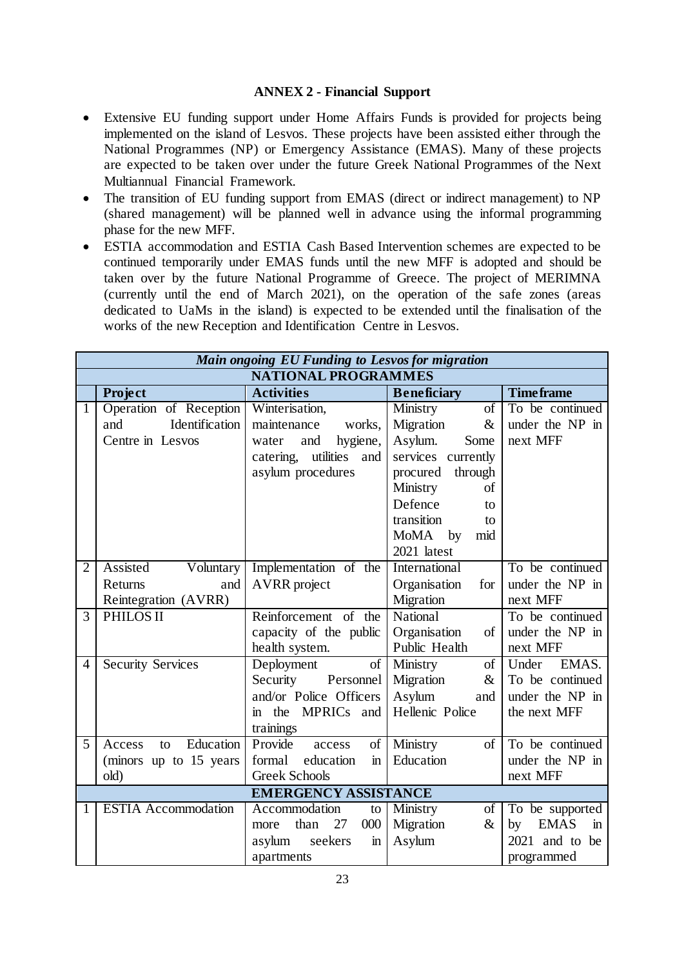## **ANNEX 2 - Financial Support**

- Extensive EU funding support under Home Affairs Funds is provided for projects being implemented on the island of Lesvos. These projects have been assisted either through the National Programmes (NP) or Emergency Assistance (EMAS). Many of these projects are expected to be taken over under the future Greek National Programmes of the Next Multiannual Financial Framework.
- The transition of EU funding support from EMAS (direct or indirect management) to NP (shared management) will be planned well in advance using the informal programming phase for the new MFF.
- ESTIA accommodation and ESTIA Cash Based Intervention schemes are expected to be continued temporarily under EMAS funds until the new MFF is adopted and should be taken over by the future National Programme of Greece. The project of MERIMNA (currently until the end of March 2021), on the operation of the safe zones (areas dedicated to UaMs in the island) is expected to be extended until the finalisation of the works of the new Reception and Identification Centre in Lesvos.

|                | Main ongoing EU Funding to Lesvos for migration |                                      |                       |                                   |  |
|----------------|-------------------------------------------------|--------------------------------------|-----------------------|-----------------------------------|--|
|                | <b>NATIONAL PROGRAMMES</b>                      |                                      |                       |                                   |  |
|                | <b>Project</b>                                  | <b>Activities</b>                    | <b>Beneficiary</b>    | <b>Time frame</b>                 |  |
| $\mathbf{1}$   | Operation of Reception                          | Winterisation,                       | Ministry<br>of        | To be continued                   |  |
|                | Identification<br>and                           | maintenance<br>works,                | Migration<br>$\&$     | under the NP in                   |  |
|                | Centre in Lesvos                                | hygiene,<br>and<br>water             | Asylum.<br>Some       | next MFF                          |  |
|                |                                                 | utilities<br>catering,<br>and        | services<br>currently |                                   |  |
|                |                                                 | asylum procedures                    | procured<br>through   |                                   |  |
|                |                                                 |                                      | Ministry<br>of        |                                   |  |
|                |                                                 |                                      | Defence<br>to         |                                   |  |
|                |                                                 |                                      | transition<br>to      |                                   |  |
|                |                                                 |                                      | MoMA<br>by<br>mid     |                                   |  |
|                |                                                 |                                      | 2021 latest           |                                   |  |
| $\overline{2}$ | Assisted<br>Voluntary                           | Implementation of the                | International         | To be continued                   |  |
|                | Returns<br>and                                  | <b>AVRR</b> project                  | Organisation<br>for   | under the NP in                   |  |
|                | Reintegration (AVRR)                            |                                      | Migration             | next MFF                          |  |
| 3              | PHILOS II                                       | Reinforcement of the                 | National              | To be continued                   |  |
|                |                                                 | capacity of the public               | Organisation<br>of    | under the NP in                   |  |
|                |                                                 | health system.                       | Public Health         | next MFF                          |  |
| $\overline{4}$ | <b>Security Services</b>                        | Deployment<br>of                     | Ministry<br>$\sigma$  | Under<br>EMAS.                    |  |
|                |                                                 | Security<br>Personnel                | Migration<br>$\&$     | To be continued                   |  |
|                |                                                 | and/or Police Officers               | Asylum<br>and         | under the NP in                   |  |
|                |                                                 | the MPRICs and<br>$\mathbf{m}$       | Hellenic Police       | the next MFF                      |  |
|                |                                                 | trainings                            |                       |                                   |  |
| 5              | Education<br>Access<br>to                       | Provide<br>of<br>access              | Ministry<br>of        | To be continued                   |  |
|                | (minors up to 15 years)                         | formal<br>education<br>$\mathbf{in}$ | Education             | under the NP in                   |  |
|                | old)                                            | <b>Greek Schools</b>                 |                       | next MFF                          |  |
|                |                                                 | <b>EMERGENCY ASSISTANCE</b>          |                       |                                   |  |
| 1              | <b>ESTIA Accommodation</b>                      | Accommodation<br>to                  | Ministry<br>of        | To be supported                   |  |
|                |                                                 | than<br>27<br>000<br>more            | Migration<br>$\&$     | <b>EMAS</b><br>by<br>$\mathbf{m}$ |  |
|                |                                                 | seekers<br>asylum<br>$\mathbf{m}$    | Asylum                | 2021 and to be                    |  |
|                |                                                 | apartments                           |                       | programmed                        |  |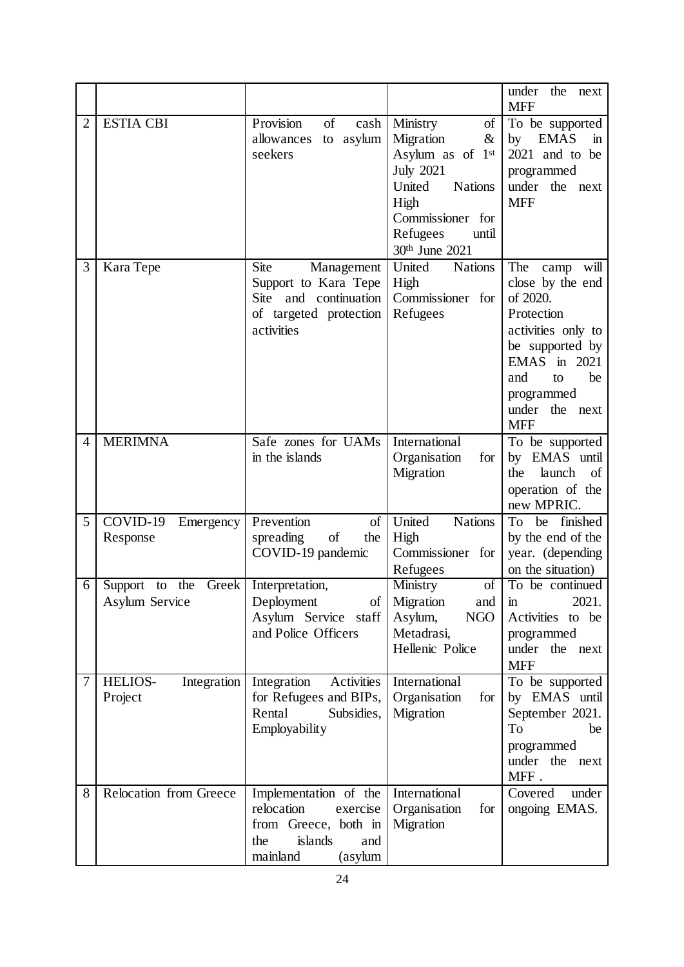|                |                                                 |                                                                                                                         |                                                                                                                                                                                        | under<br>the<br>next<br><b>MFF</b>                                                                                                                                                          |
|----------------|-------------------------------------------------|-------------------------------------------------------------------------------------------------------------------------|----------------------------------------------------------------------------------------------------------------------------------------------------------------------------------------|---------------------------------------------------------------------------------------------------------------------------------------------------------------------------------------------|
| $\overline{2}$ | <b>ESTIA CBI</b>                                | Provision<br>of<br>cash<br>asylum<br>allowances<br>to<br>seekers                                                        | Ministry<br>of<br>Migration<br>$\&$<br>Asylum as of 1 <sup>st</sup><br><b>July 2021</b><br>United<br><b>Nations</b><br>High<br>Commissioner for<br>Refugees<br>until<br>30th June 2021 | To be supported<br><b>EMAS</b><br>by<br>$\mathbf{m}$<br>2021 and to be<br>programmed<br>under the<br>next<br><b>MFF</b>                                                                     |
| 3              | Kara Tepe                                       | Site<br>Management<br>Support to Kara Tepe<br>Site and continuation<br>of targeted protection<br>activities             | United<br><b>Nations</b><br>High<br>Commissioner for<br>Refugees                                                                                                                       | The<br>will<br>camp<br>close by the end<br>of 2020.<br>Protection<br>activities only to<br>be supported by<br>EMAS in 2021<br>be<br>and<br>to<br>programmed<br>under the next<br><b>MFF</b> |
| 4              | <b>MERIMNA</b>                                  | Safe zones for UAMs<br>in the islands                                                                                   | International<br>Organisation<br>for<br>Migration                                                                                                                                      | To be supported<br>by EMAS until<br>launch<br>the<br><sub>of</sub><br>operation of the<br>new MPRIC.                                                                                        |
| 5              | COVID-19<br>Emergency<br>Response               | Prevention<br>of<br>of<br>spreading<br>the<br>COVID-19 pandemic                                                         | United<br><b>Nations</b><br>High<br>Commissioner for<br>Refugees                                                                                                                       | To<br>finished<br>be<br>by the end of the<br>year. (depending<br>on the situation)                                                                                                          |
| 6              | Greek<br>Support<br>the<br>to<br>Asylum Service | Interpretation,<br>Deployment<br>$\sigma$<br>Asylum Service staff<br>and Police Officers                                | Ministry<br>of<br>Migration<br>and<br><b>NGO</b><br>Asylum,<br>Metadrasi,<br>Hellenic Police                                                                                           | To be continued<br>2021.<br>$\mathbf{m}$<br>Activities to be<br>programmed<br>under the next<br><b>MFF</b>                                                                                  |
| $\tau$         | Integration<br>HELIOS-<br>Project               | Activities<br>Integration<br>for Refugees and BIPs,<br>Rental<br>Subsidies,<br>Employability                            | International<br>Organisation<br>for<br>Migration                                                                                                                                      | To be supported<br>by EMAS until<br>September 2021.<br>To<br>be<br>programmed<br>under the next<br>MFF.                                                                                     |
| 8              | Relocation from Greece                          | Implementation of the<br>relocation<br>exercise<br>from Greece, both in<br>islands<br>the<br>and<br>mainland<br>(asylum | International<br>Organisation<br>for<br>Migration                                                                                                                                      | Covered<br>under<br>ongoing EMAS.                                                                                                                                                           |